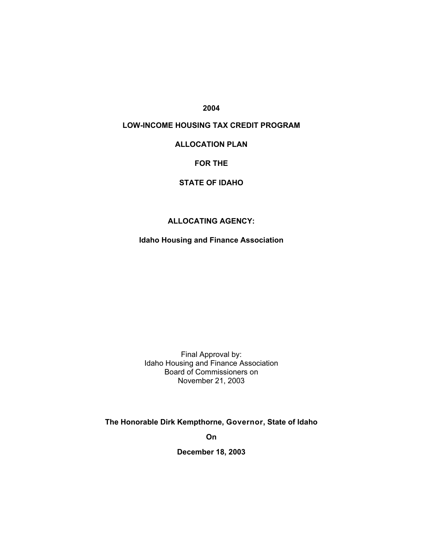**2004**

# **LOW-INCOME HOUSING TAX CREDIT PROGRAM**

# **ALLOCATION PLAN**

#### **FOR THE**

# **STATE OF IDAHO**

# **ALLOCATING AGENCY:**

**Idaho Housing and Finance Association** 

Final Approval by: Idaho Housing and Finance Association Board of Commissioners on November 21, 2003

**The Honorable Dirk Kempthorne, Governor, State of Idaho** 

**On** 

**December 18, 2003**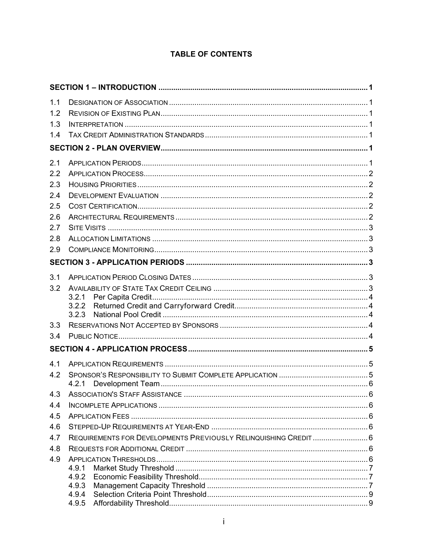# **TABLE OF CONTENTS**

| 1.1 |                                                                  |  |
|-----|------------------------------------------------------------------|--|
| 1.2 |                                                                  |  |
| 1.3 |                                                                  |  |
| 1.4 |                                                                  |  |
|     |                                                                  |  |
| 2.1 |                                                                  |  |
| 2.2 |                                                                  |  |
| 2.3 |                                                                  |  |
| 2.4 |                                                                  |  |
| 2.5 |                                                                  |  |
| 2.6 |                                                                  |  |
| 2.7 |                                                                  |  |
| 2.8 |                                                                  |  |
| 2.9 |                                                                  |  |
|     |                                                                  |  |
| 3.1 |                                                                  |  |
| 3.2 |                                                                  |  |
|     | 3.2.1                                                            |  |
|     | 3.2.3                                                            |  |
| 3.3 |                                                                  |  |
| 3.4 |                                                                  |  |
|     |                                                                  |  |
| 4.1 |                                                                  |  |
| 4.2 |                                                                  |  |
|     | 4.2.1                                                            |  |
|     |                                                                  |  |
| 4.4 |                                                                  |  |
| 4.5 |                                                                  |  |
| 4.6 |                                                                  |  |
| 4.7 | REQUIREMENTS FOR DEVELOPMENTS PREVIOUSLY RELINQUISHING CREDIT  6 |  |
| 4.8 |                                                                  |  |
| 4.9 |                                                                  |  |
|     | 4.9.1<br>4.9.2                                                   |  |
|     | 4.9.3                                                            |  |
|     | 4.9.4                                                            |  |
|     | 4.9.5                                                            |  |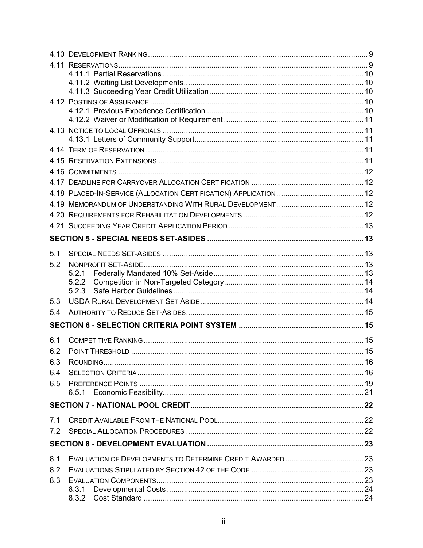| 5.1 |                |  |
|-----|----------------|--|
| 5.2 |                |  |
|     | 5.2.1          |  |
|     | 5.2.2<br>5.2.3 |  |
|     |                |  |
| 5.3 |                |  |
| 5.4 |                |  |
|     |                |  |
| 6.1 |                |  |
| 6.2 |                |  |
| 6.3 |                |  |
| 6.4 |                |  |
| 6.5 |                |  |
|     |                |  |
|     |                |  |
|     |                |  |
| 7.1 |                |  |
| 7.2 |                |  |
|     |                |  |
| 8.1 |                |  |
| 8.2 |                |  |
| 8.3 |                |  |
|     | 8.3.1          |  |
|     | 8.3.2          |  |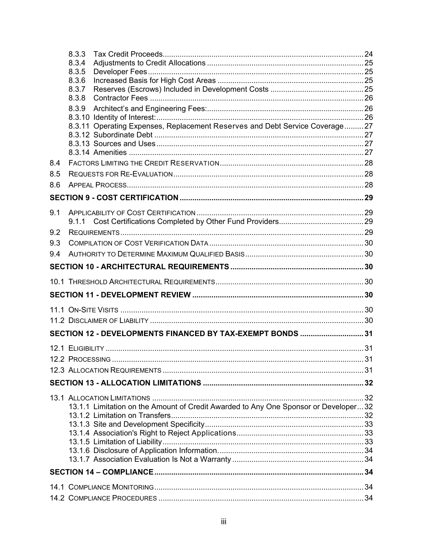|     | 8.3.3<br>8.3.4<br>8.3.5                                                             |    |
|-----|-------------------------------------------------------------------------------------|----|
|     | 8.3.6<br>8.3.7                                                                      |    |
|     | 8.3.8<br>8.3.9                                                                      |    |
|     | 8.3.11 Operating Expenses, Replacement Reserves and Debt Service Coverage 27        |    |
| 8.4 |                                                                                     |    |
| 8.5 |                                                                                     |    |
| 8.6 |                                                                                     |    |
|     |                                                                                     |    |
| 9.1 |                                                                                     |    |
| 9.2 |                                                                                     |    |
| 9.3 |                                                                                     |    |
| 9.4 |                                                                                     |    |
|     |                                                                                     |    |
|     |                                                                                     |    |
|     |                                                                                     |    |
|     |                                                                                     |    |
|     |                                                                                     |    |
|     | SECTION 12 - DEVELOPMENTS FINANCED BY TAX-EXEMPT BONDS 31                           |    |
|     |                                                                                     |    |
|     | 12.2 PROCESSING                                                                     | 31 |
|     |                                                                                     |    |
|     |                                                                                     |    |
|     | 13.1.1 Limitation on the Amount of Credit Awarded to Any One Sponsor or Developer32 |    |
|     |                                                                                     |    |
|     |                                                                                     |    |
|     |                                                                                     |    |
|     |                                                                                     |    |
|     |                                                                                     |    |
|     |                                                                                     |    |
|     |                                                                                     |    |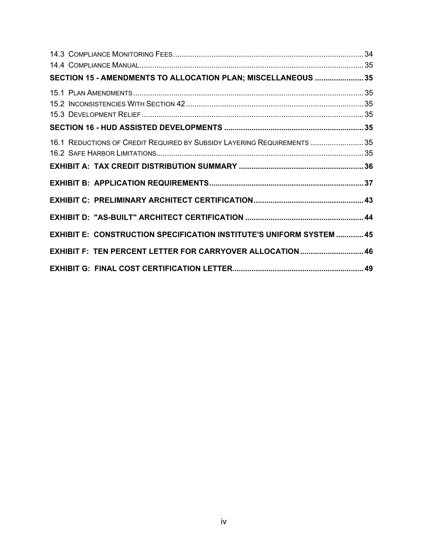| SECTION 15 - AMENDMENTS TO ALLOCATION PLAN; MISCELLANEOUS 35                |  |
|-----------------------------------------------------------------------------|--|
|                                                                             |  |
|                                                                             |  |
| 16.1 REDUCTIONS OF CREDIT REQUIRED BY SUBSIDY LAYERING REQUIREMENTS  35     |  |
|                                                                             |  |
|                                                                             |  |
|                                                                             |  |
| <b>EXHIBIT E: CONSTRUCTION SPECIFICATION INSTITUTE'S UNIFORM SYSTEM  45</b> |  |
| EXHIBIT F: TEN PERCENT LETTER FOR CARRYOVER ALLOCATION  46                  |  |
|                                                                             |  |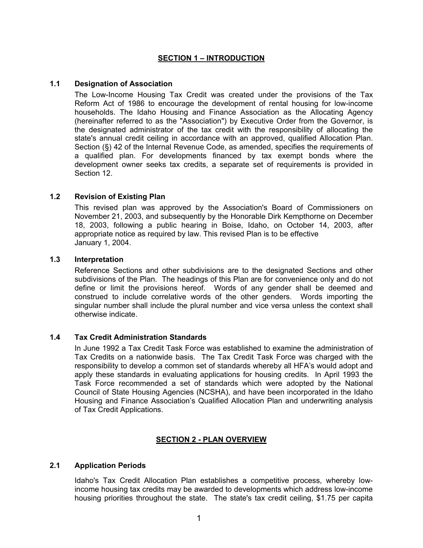# **SECTION 1 – INTRODUCTION**

# <span id="page-5-0"></span>**1.1 Designation of Association**

The Low-Income Housing Tax Credit was created under the provisions of the Tax Reform Act of 1986 to encourage the development of rental housing for low-income households. The Idaho Housing and Finance Association as the Allocating Agency (hereinafter referred to as the "Association") by Executive Order from the Governor, is the designated administrator of the tax credit with the responsibility of allocating the state's annual credit ceiling in accordance with an approved, qualified Allocation Plan. Section (§) 42 of the Internal Revenue Code, as amended, specifies the requirements of a qualified plan. For developments financed by tax exempt bonds where the development owner seeks tax credits, a separate set of requirements is provided in Section 12.

## **1.2 Revision of Existing Plan**

This revised plan was approved by the Association's Board of Commissioners on November 21, 2003, and subsequently by the Honorable Dirk Kempthorne on December 18, 2003, following a public hearing in Boise, Idaho, on October 14, 2003, after appropriate notice as required by law. This revised Plan is to be effective January 1, 2004.

### **1.3 Interpretation**

Reference Sections and other subdivisions are to the designated Sections and other subdivisions of the Plan. The headings of this Plan are for convenience only and do not define or limit the provisions hereof. Words of any gender shall be deemed and construed to include correlative words of the other genders. Words importing the singular number shall include the plural number and vice versa unless the context shall otherwise indicate.

#### **1.4 Tax Credit Administration Standards**

In June 1992 a Tax Credit Task Force was established to examine the administration of Tax Credits on a nationwide basis. The Tax Credit Task Force was charged with the responsibility to develop a common set of standards whereby all HFA's would adopt and apply these standards in evaluating applications for housing credits. In April 1993 the Task Force recommended a set of standards which were adopted by the National Council of State Housing Agencies (NCSHA), and have been incorporated in the Idaho Housing and Finance Association's Qualified Allocation Plan and underwriting analysis of Tax Credit Applications.

#### **SECTION 2 - PLAN OVERVIEW**

## **2.1 Application Periods**

Idaho's Tax Credit Allocation Plan establishes a competitive process, whereby lowincome housing tax credits may be awarded to developments which address low-income housing priorities throughout the state. The state's tax credit ceiling, \$1.75 per capita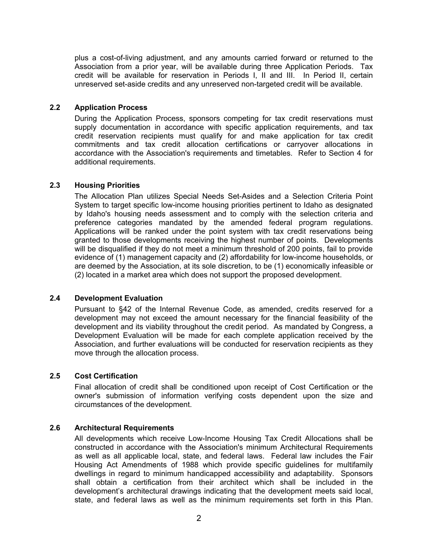<span id="page-6-0"></span>plus a cost-of-living adjustment, and any amounts carried forward or returned to the Association from a prior year, will be available during three Application Periods. Tax credit will be available for reservation in Periods I, II and III. In Period II, certain unreserved set-aside credits and any unreserved non-targeted credit will be available.

# **2.2 Application Process**

During the Application Process, sponsors competing for tax credit reservations must supply documentation in accordance with specific application requirements, and tax credit reservation recipients must qualify for and make application for tax credit commitments and tax credit allocation certifications or carryover allocations in accordance with the Association's requirements and timetables. Refer to Section 4 for additional requirements.

## **2.3 Housing Priorities**

The Allocation Plan utilizes Special Needs Set-Asides and a Selection Criteria Point System to target specific low-income housing priorities pertinent to Idaho as designated by Idaho's housing needs assessment and to comply with the selection criteria and preference categories mandated by the amended federal program regulations. Applications will be ranked under the point system with tax credit reservations being granted to those developments receiving the highest number of points. Developments will be disqualified if they do not meet a minimum threshold of 200 points, fail to provide evidence of (1) management capacity and (2) affordability for low-income households, or are deemed by the Association, at its sole discretion, to be (1) economically infeasible or (2) located in a market area which does not support the proposed development.

# **2.4 Development Evaluation**

Pursuant to §42 of the Internal Revenue Code, as amended, credits reserved for a development may not exceed the amount necessary for the financial feasibility of the development and its viability throughout the credit period. As mandated by Congress, a Development Evaluation will be made for each complete application received by the Association, and further evaluations will be conducted for reservation recipients as they move through the allocation process.

#### **2.5 Cost Certification**

Final allocation of credit shall be conditioned upon receipt of Cost Certification or the owner's submission of information verifying costs dependent upon the size and circumstances of the development.

# **2.6 Architectural Requirements**

All developments which receive Low-Income Housing Tax Credit Allocations shall be constructed in accordance with the Association's minimum Architectural Requirements as well as all applicable local, state, and federal laws. Federal law includes the Fair Housing Act Amendments of 1988 which provide specific guidelines for multifamily dwellings in regard to minimum handicapped accessibility and adaptability. Sponsors shall obtain a certification from their architect which shall be included in the development's architectural drawings indicating that the development meets said local, state, and federal laws as well as the minimum requirements set forth in this Plan.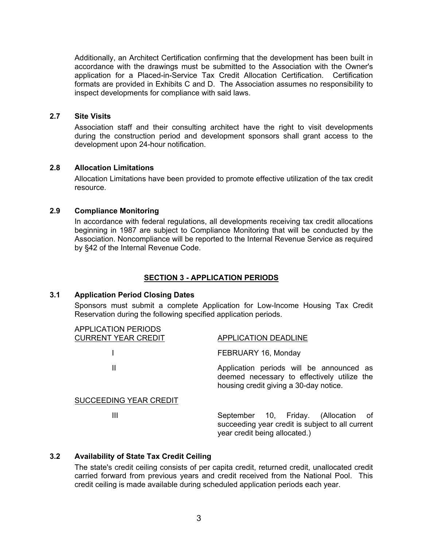<span id="page-7-0"></span>Additionally, an Architect Certification confirming that the development has been built in accordance with the drawings must be submitted to the Association with the Owner's application for a Placed-in-Service Tax Credit Allocation Certification. Certification formats are provided in Exhibits C and D. The Association assumes no responsibility to inspect developments for compliance with said laws.

### **2.7 Site Visits**

Association staff and their consulting architect have the right to visit developments during the construction period and development sponsors shall grant access to the development upon 24-hour notification.

# **2.8 Allocation Limitations**

Allocation Limitations have been provided to promote effective utilization of the tax credit resource.

# **2.9 Compliance Monitoring**

In accordance with federal regulations, all developments receiving tax credit allocations beginning in 1987 are subject to Compliance Monitoring that will be conducted by the Association. Noncompliance will be reported to the Internal Revenue Service as required by §42 of the Internal Revenue Code.

# **SECTION 3 - APPLICATION PERIODS**

#### **3.1 Application Period Closing Dates**

Sponsors must submit a complete Application for Low-Income Housing Tax Credit Reservation during the following specified application periods.

| <b>APPLICATION PERIODS</b><br><b>CURRENT YEAR CREDIT</b> | <b>APPLICATION DEADLINE</b>                                                                                                       |  |  |
|----------------------------------------------------------|-----------------------------------------------------------------------------------------------------------------------------------|--|--|
|                                                          | FEBRUARY 16, Monday                                                                                                               |  |  |
| Ш                                                        | Application periods will be announced as<br>deemed necessary to effectively utilize the<br>housing credit giving a 30-day notice. |  |  |
| SUCCEEDING YEAR CREDIT                                   |                                                                                                                                   |  |  |
| Ш                                                        | September 10, Friday. (Allocation<br>ot -<br>succeeding year credit is subject to all current<br>year credit being allocated.)    |  |  |

# **3.2 Availability of State Tax Credit Ceiling**

The state's credit ceiling consists of per capita credit, returned credit, unallocated credit carried forward from previous years and credit received from the National Pool. This credit ceiling is made available during scheduled application periods each year.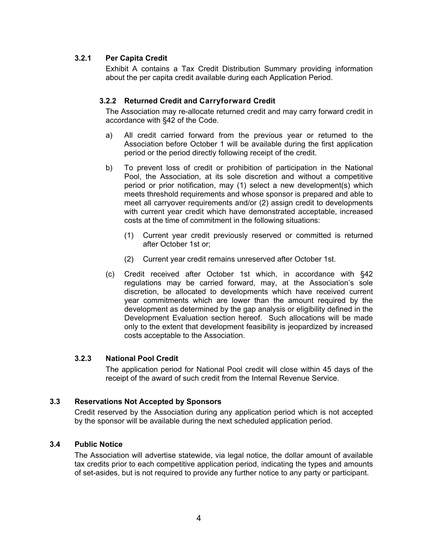# <span id="page-8-0"></span>**3.2.1 Per Capita Credit**

Exhibit A contains a Tax Credit Distribution Summary providing information about the per capita credit available during each Application Period.

# **3.2.2 Returned Credit and Carryforward Credit**

The Association may re-allocate returned credit and may carry forward credit in accordance with §42 of the Code.

- a) All credit carried forward from the previous year or returned to the Association before October 1 will be available during the first application period or the period directly following receipt of the credit.
- b) To prevent loss of credit or prohibition of participation in the National Pool, the Association, at its sole discretion and without a competitive period or prior notification, may (1) select a new development(s) which meets threshold requirements and whose sponsor is prepared and able to meet all carryover requirements and/or (2) assign credit to developments with current year credit which have demonstrated acceptable, increased costs at the time of commitment in the following situations:
	- (1) Current year credit previously reserved or committed is returned after October 1st or;
	- (2) Current year credit remains unreserved after October 1st.
- (c) Credit received after October 1st which, in accordance with §42 regulations may be carried forward, may, at the Association's sole discretion, be allocated to developments which have received current year commitments which are lower than the amount required by the development as determined by the gap analysis or eligibility defined in the Development Evaluation section hereof. Such allocations will be made only to the extent that development feasibility is jeopardized by increased costs acceptable to the Association.

# **3.2.3 National Pool Credit**

The application period for National Pool credit will close within 45 days of the receipt of the award of such credit from the Internal Revenue Service.

# **3.3 Reservations Not Accepted by Sponsors**

Credit reserved by the Association during any application period which is not accepted by the sponsor will be available during the next scheduled application period.

# **3.4 Public Notice**

The Association will advertise statewide, via legal notice, the dollar amount of available tax credits prior to each competitive application period, indicating the types and amounts of set-asides, but is not required to provide any further notice to any party or participant.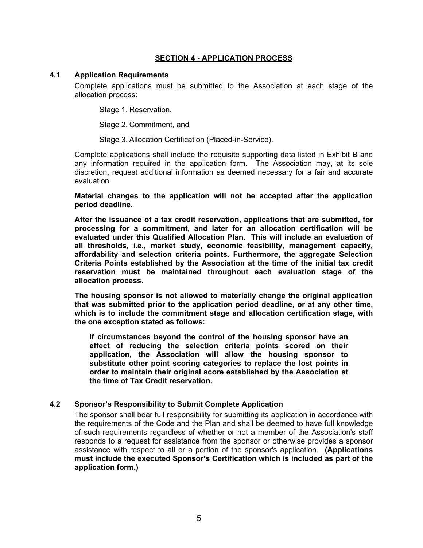# **SECTION 4 - APPLICATION PROCESS**

#### <span id="page-9-0"></span>**4.1 Application Requirements**

Complete applications must be submitted to the Association at each stage of the allocation process:

Stage 1. Reservation,

Stage 2. Commitment, and

Stage 3. Allocation Certification (Placed-in-Service).

Complete applications shall include the requisite supporting data listed in Exhibit B and any information required in the application form. The Association may, at its sole discretion, request additional information as deemed necessary for a fair and accurate evaluation.

**Material changes to the application will not be accepted after the application period deadline.** 

**After the issuance of a tax credit reservation, applications that are submitted, for processing for a commitment, and later for an allocation certification will be evaluated under this Qualified Allocation Plan. This will include an evaluation of all thresholds, i.e., market study, economic feasibility, management capacity, affordability and selection criteria points. Furthermore, the aggregate Selection Criteria Points established by the Association at the time of the initial tax credit reservation must be maintained throughout each evaluation stage of the allocation process.** 

**The housing sponsor is not allowed to materially change the original application that was submitted prior to the application period deadline, or at any other time, which is to include the commitment stage and allocation certification stage, with the one exception stated as follows:** 

**If circumstances beyond the control of the housing sponsor have an effect of reducing the selection criteria points scored on their application, the Association will allow the housing sponsor to substitute other point scoring categories to replace the lost points in order to maintain their original score established by the Association at the time of Tax Credit reservation.** 

#### **4.2 Sponsor's Responsibility to Submit Complete Application**

The sponsor shall bear full responsibility for submitting its application in accordance with the requirements of the Code and the Plan and shall be deemed to have full knowledge of such requirements regardless of whether or not a member of the Association's staff responds to a request for assistance from the sponsor or otherwise provides a sponsor assistance with respect to all or a portion of the sponsor's application. **(Applications must include the executed Sponsor's Certification which is included as part of the application form.)**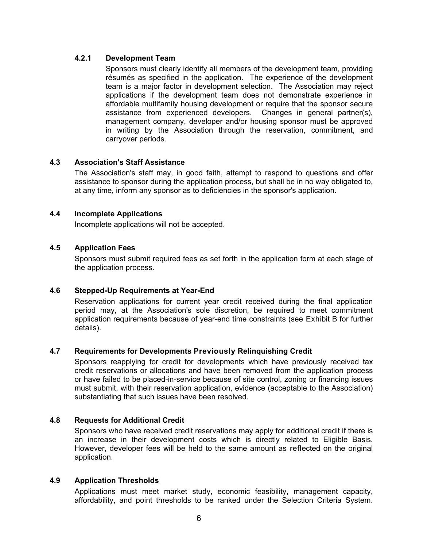# <span id="page-10-0"></span>**4.2.1 Development Team**

Sponsors must clearly identify all members of the development team, providing résumés as specified in the application. The experience of the development team is a major factor in development selection. The Association may reject applications if the development team does not demonstrate experience in affordable multifamily housing development or require that the sponsor secure assistance from experienced developers. Changes in general partner(s), management company, developer and/or housing sponsor must be approved in writing by the Association through the reservation, commitment, and carryover periods.

# **4.3 Association's Staff Assistance**

The Association's staff may, in good faith, attempt to respond to questions and offer assistance to sponsor during the application process, but shall be in no way obligated to, at any time, inform any sponsor as to deficiencies in the sponsor's application.

## **4.4 Incomplete Applications**

Incomplete applications will not be accepted.

# **4.5 Application Fees**

Sponsors must submit required fees as set forth in the application form at each stage of the application process.

# **4.6 Stepped-Up Requirements at Year-End**

Reservation applications for current year credit received during the final application period may, at the Association's sole discretion, be required to meet commitment application requirements because of year-end time constraints (see Exhibit B for further details).

### **4.7 Requirements for Developments Previously Relinquishing Credit**

Sponsors reapplying for credit for developments which have previously received tax credit reservations or allocations and have been removed from the application process or have failed to be placed-in-service because of site control, zoning or financing issues must submit, with their reservation application, evidence (acceptable to the Association) substantiating that such issues have been resolved.

### **4.8 Requests for Additional Credit**

Sponsors who have received credit reservations may apply for additional credit if there is an increase in their development costs which is directly related to Eligible Basis. However, developer fees will be held to the same amount as reflected on the original application.

#### **4.9 Application Thresholds**

Applications must meet market study, economic feasibility, management capacity, affordability, and point thresholds to be ranked under the Selection Criteria System.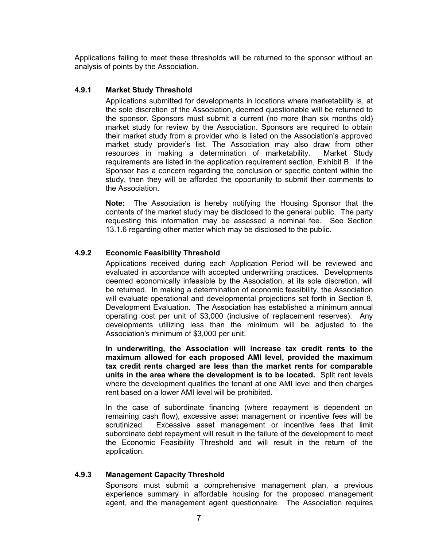<span id="page-11-0"></span>Applications failing to meet these thresholds will be returned to the sponsor without an analysis of points by the Association.

## **4.9.1 Market Study Threshold**

Applications submitted for developments in locations where marketability is, at the sole discretion of the Association, deemed questionable will be returned to the sponsor. Sponsors must submit a current (no more than six months old) market study for review by the Association. Sponsors are required to obtain their market study from a provider who is listed on the Association's approved market study provider's list. The Association may also draw from other resources in making a determination of marketability. Market Study requirements are listed in the application requirement section, Exhibit B. If the Sponsor has a concern regarding the conclusion or specific content within the study, then they will be afforded the opportunity to submit their comments to the Association.

**Note:** The Association is hereby notifying the Housing Sponsor that the contents of the market study may be disclosed to the general public. The party requesting this information may be assessed a nominal fee. See Section 13.1.6 regarding other matter which may be disclosed to the public.

## **4.9.2 Economic Feasibility Threshold**

Applications received during each Application Period will be reviewed and evaluated in accordance with accepted underwriting practices. Developments deemed economically infeasible by the Association, at its sole discretion, will be returned. In making a determination of economic feasibility, the Association will evaluate operational and developmental projections set forth in Section 8, Development Evaluation. The Association has established a minimum annual operating cost per unit of \$3,000 (inclusive of replacement reserves). Any developments utilizing less than the minimum will be adjusted to the Association's minimum of \$3,000 per unit.

**In underwriting, the Association will increase tax credit rents to the maximum allowed for each proposed AMI level, provided the maximum tax credit rents charged are less than the market rents for comparable units in the area where the development is to be located.** Split rent levels where the development qualifies the tenant at one AMI level and then charges rent based on a lower AMI level will be prohibited.

In the case of subordinate financing (where repayment is dependent on remaining cash flow), excessive asset management or incentive fees will be scrutinized. Excessive asset management or incentive fees that limit subordinate debt repayment will result in the failure of the development to meet the Economic Feasibility Threshold and will result in the return of the application.

#### **4.9.3 Management Capacity Threshold**

Sponsors must submit a comprehensive management plan, a previous experience summary in affordable housing for the proposed management agent, and the management agent questionnaire. The Association requires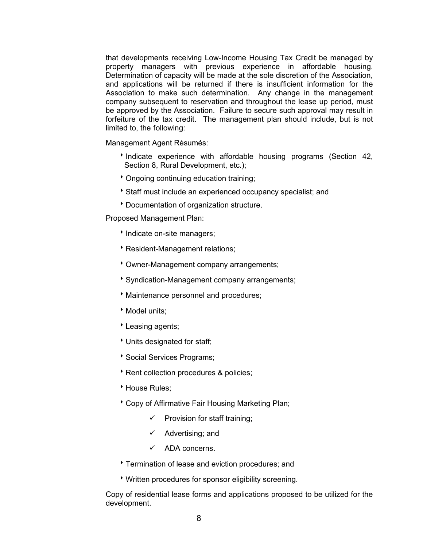that developments receiving Low-Income Housing Tax Credit be managed by property managers with previous experience in affordable housing. Determination of capacity will be made at the sole discretion of the Association, and applications will be returned if there is insufficient information for the Association to make such determination. Any change in the management company subsequent to reservation and throughout the lease up period, must be approved by the Association. Failure to secure such approval may result in forfeiture of the tax credit. The management plan should include, but is not limited to, the following:

Management Agent Résumés:

- Indicate experience with affordable housing programs (Section 42, Section 8, Rural Development, etc.);
- \* Ongoing continuing education training;
- Staff must include an experienced occupancy specialist; and
- \* Documentation of organization structure.

Proposed Management Plan:

- Indicate on-site managers;
- **Resident-Management relations;**
- \* Owner-Management company arrangements;
- Syndication-Management company arrangements;
- **Maintenance personnel and procedures;**
- $\rightarrow$  Model units;
- Leasing agents;
- \* Units designated for staff;
- Social Services Programs;
- \* Rent collection procedures & policies;
- House Rules:
- \* Copy of Affirmative Fair Housing Marketing Plan;
	- $\checkmark$  Provision for staff training;
	- $\checkmark$  Advertising; and
	- $\checkmark$  ADA concerns.
- Termination of lease and eviction procedures; and
- \* Written procedures for sponsor eligibility screening.

Copy of residential lease forms and applications proposed to be utilized for the development.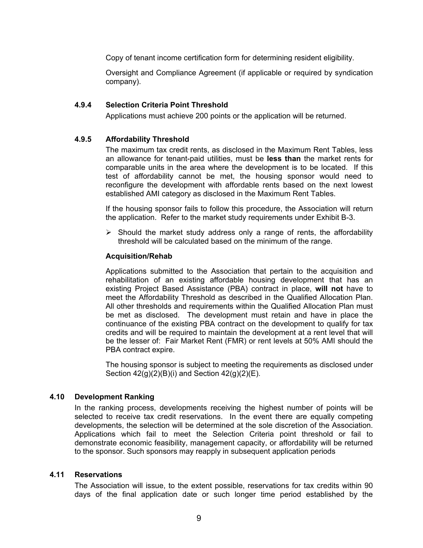<span id="page-13-0"></span>Copy of tenant income certification form for determining resident eligibility.

Oversight and Compliance Agreement (if applicable or required by syndication company).

# **4.9.4 Selection Criteria Point Threshold**

Applications must achieve 200 points or the application will be returned.

# **4.9.5 Affordability Threshold**

The maximum tax credit rents, as disclosed in the Maximum Rent Tables, less an allowance for tenant-paid utilities, must be **less than** the market rents for comparable units in the area where the development is to be located. If this test of affordability cannot be met, the housing sponsor would need to reconfigure the development with affordable rents based on the next lowest established AMI category as disclosed in the Maximum Rent Tables.

If the housing sponsor fails to follow this procedure, the Association will return the application. Refer to the market study requirements under Exhibit B-3.

 $\triangleright$  Should the market study address only a range of rents, the affordability threshold will be calculated based on the minimum of the range.

# **Acquisition/Rehab**

Applications submitted to the Association that pertain to the acquisition and rehabilitation of an existing affordable housing development that has an existing Project Based Assistance (PBA) contract in place, **will not** have to meet the Affordability Threshold as described in the Qualified Allocation Plan. All other thresholds and requirements within the Qualified Allocation Plan must be met as disclosed. The development must retain and have in place the continuance of the existing PBA contract on the development to qualify for tax credits and will be required to maintain the development at a rent level that will be the lesser of: Fair Market Rent (FMR) or rent levels at 50% AMI should the PBA contract expire.

The housing sponsor is subject to meeting the requirements as disclosed under Section  $42(q)(2)(B)(i)$  and Section  $42(q)(2)(E)$ .

#### **4.10 Development Ranking**

In the ranking process, developments receiving the highest number of points will be selected to receive tax credit reservations. In the event there are equally competing developments, the selection will be determined at the sole discretion of the Association. Applications which fail to meet the Selection Criteria point threshold or fail to demonstrate economic feasibility, management capacity, or affordability will be returned to the sponsor. Such sponsors may reapply in subsequent application periods

## **4.11 Reservations**

The Association will issue, to the extent possible, reservations for tax credits within 90 days of the final application date or such longer time period established by the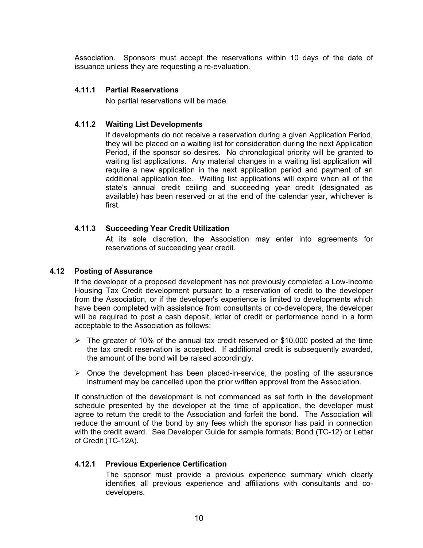<span id="page-14-0"></span>Association. Sponsors must accept the reservations within 10 days of the date of issuance unless they are requesting a re-evaluation.

## **4.11.1 Partial Reservations**

No partial reservations will be made.

# **4.11.2 Waiting List Developments**

If developments do not receive a reservation during a given Application Period, they will be placed on a waiting list for consideration during the next Application Period, if the sponsor so desires. No chronological priority will be granted to waiting list applications. Any material changes in a waiting list application will require a new application in the next application period and payment of an additional application fee. Waiting list applications will expire when all of the state's annual credit ceiling and succeeding year credit (designated as available) has been reserved or at the end of the calendar year, whichever is first.

## **4.11.3 Succeeding Year Credit Utilization**

At its sole discretion, the Association may enter into agreements for reservations of succeeding year credit.

### **4.12 Posting of Assurance**

If the developer of a proposed development has not previously completed a Low-Income Housing Tax Credit development pursuant to a reservation of credit to the developer from the Association, or if the developer's experience is limited to developments which have been completed with assistance from consultants or co-developers, the developer will be required to post a cash deposit, letter of credit or performance bond in a form acceptable to the Association as follows:

- $\triangleright$  The greater of 10% of the annual tax credit reserved or \$10,000 posted at the time the tax credit reservation is accepted. If additional credit is subsequently awarded, the amount of the bond will be raised accordingly.
- $\triangleright$  Once the development has been placed-in-service, the posting of the assurance instrument may be cancelled upon the prior written approval from the Association.

If construction of the development is not commenced as set forth in the development schedule presented by the developer at the time of application, the developer must agree to return the credit to the Association and forfeit the bond. The Association will reduce the amount of the bond by any fees which the sponsor has paid in connection with the credit award. See Developer Guide for sample formats; Bond (TC-12) or Letter of Credit (TC-12A).

#### **4.12.1 Previous Experience Certification**

The sponsor must provide a previous experience summary which clearly identifies all previous experience and affiliations with consultants and codevelopers.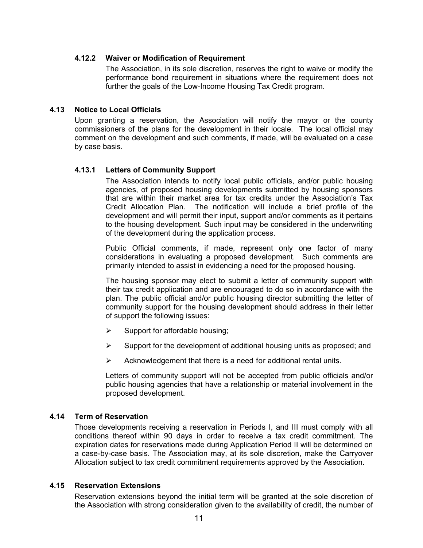### <span id="page-15-0"></span>**4.12.2 Waiver or Modification of Requirement**

The Association, in its sole discretion, reserves the right to waive or modify the performance bond requirement in situations where the requirement does not further the goals of the Low-Income Housing Tax Credit program.

# **4.13 Notice to Local Officials**

Upon granting a reservation, the Association will notify the mayor or the county commissioners of the plans for the development in their locale. The local official may comment on the development and such comments, if made, will be evaluated on a case by case basis.

# **4.13.1 Letters of Community Support**

The Association intends to notify local public officials, and/or public housing agencies, of proposed housing developments submitted by housing sponsors that are within their market area for tax credits under the Association's Tax Credit Allocation Plan. The notification will include a brief profile of the development and will permit their input, support and/or comments as it pertains to the housing development. Such input may be considered in the underwriting of the development during the application process.

Public Official comments, if made, represent only one factor of many considerations in evaluating a proposed development. Such comments are primarily intended to assist in evidencing a need for the proposed housing.

The housing sponsor may elect to submit a letter of community support with their tax credit application and are encouraged to do so in accordance with the plan. The public official and/or public housing director submitting the letter of community support for the housing development should address in their letter of support the following issues:

- $\triangleright$  Support for affordable housing;
- $\triangleright$  Support for the development of additional housing units as proposed; and
- $\triangleright$  Acknowledgement that there is a need for additional rental units.

Letters of community support will not be accepted from public officials and/or public housing agencies that have a relationship or material involvement in the proposed development.

# **4.14 Term of Reservation**

Those developments receiving a reservation in Periods I, and III must comply with all conditions thereof within 90 days in order to receive a tax credit commitment. The expiration dates for reservations made during Application Period II will be determined on a case-by-case basis. The Association may, at its sole discretion, make the Carryover Allocation subject to tax credit commitment requirements approved by the Association.

#### **4.15 Reservation Extensions**

Reservation extensions beyond the initial term will be granted at the sole discretion of the Association with strong consideration given to the availability of credit, the number of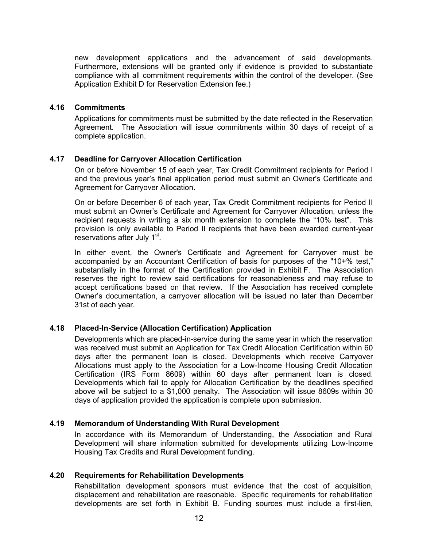<span id="page-16-0"></span>new development applications and the advancement of said developments. Furthermore, extensions will be granted only if evidence is provided to substantiate compliance with all commitment requirements within the control of the developer. (See Application Exhibit D for Reservation Extension fee.)

#### **4.16 Commitments**

Applications for commitments must be submitted by the date reflected in the Reservation Agreement. The Association will issue commitments within 30 days of receipt of a complete application.

# **4.17 Deadline for Carryover Allocation Certification**

On or before November 15 of each year, Tax Credit Commitment recipients for Period I and the previous year's final application period must submit an Owner's Certificate and Agreement for Carryover Allocation.

On or before December 6 of each year, Tax Credit Commitment recipients for Period II must submit an Owner's Certificate and Agreement for Carryover Allocation, unless the recipient requests in writing a six month extension to complete the "10% test". This provision is only available to Period II recipients that have been awarded current-year reservations after July 1<sup>st</sup>.

In either event, the Owner's Certificate and Agreement for Carryover must be accompanied by an Accountant Certification of basis for purposes of the "10+% test," substantially in the format of the Certification provided in Exhibit F. The Association reserves the right to review said certifications for reasonableness and may refuse to accept certifications based on that review. If the Association has received complete Owner's documentation, a carryover allocation will be issued no later than December 31st of each year.

# **4.18 Placed-In-Service (Allocation Certification) Application**

Developments which are placed-in-service during the same year in which the reservation was received must submit an Application for Tax Credit Allocation Certification within 60 days after the permanent loan is closed. Developments which receive Carryover Allocations must apply to the Association for a Low-Income Housing Credit Allocation Certification (IRS Form 8609) within 60 days after permanent loan is closed. Developments which fail to apply for Allocation Certification by the deadlines specified above will be subject to a \$1,000 penalty. The Association will issue 8609s within 30 days of application provided the application is complete upon submission.

## **4.19 Memorandum of Understanding With Rural Development**

In accordance with its Memorandum of Understanding, the Association and Rural Development will share information submitted for developments utilizing Low-Income Housing Tax Credits and Rural Development funding.

#### **4.20 Requirements for Rehabilitation Developments**

Rehabilitation development sponsors must evidence that the cost of acquisition, displacement and rehabilitation are reasonable. Specific requirements for rehabilitation developments are set forth in Exhibit B. Funding sources must include a first-lien,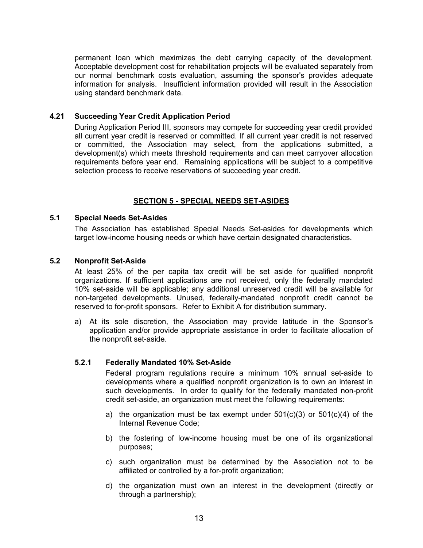<span id="page-17-0"></span>permanent loan which maximizes the debt carrying capacity of the development. Acceptable development cost for rehabilitation projects will be evaluated separately from our normal benchmark costs evaluation, assuming the sponsor's provides adequate information for analysis. Insufficient information provided will result in the Association using standard benchmark data.

# **4.21 Succeeding Year Credit Application Period**

During Application Period III, sponsors may compete for succeeding year credit provided all current year credit is reserved or committed. If all current year credit is not reserved or committed, the Association may select, from the applications submitted, a development(s) which meets threshold requirements and can meet carryover allocation requirements before year end. Remaining applications will be subject to a competitive selection process to receive reservations of succeeding year credit.

## **SECTION 5 - SPECIAL NEEDS SET-ASIDES**

#### **5.1 Special Needs Set-Asides**

The Association has established Special Needs Set-asides for developments which target low-income housing needs or which have certain designated characteristics.

## **5.2 Nonprofit Set-Aside**

At least 25% of the per capita tax credit will be set aside for qualified nonprofit organizations. If sufficient applications are not received, only the federally mandated 10% set-aside will be applicable; any additional unreserved credit will be available for non-targeted developments. Unused, federally-mandated nonprofit credit cannot be reserved to for-profit sponsors. Refer to Exhibit A for distribution summary.

a) At its sole discretion, the Association may provide latitude in the Sponsor's application and/or provide appropriate assistance in order to facilitate allocation of the nonprofit set-aside.

#### **5.2.1 Federally Mandated 10% Set-Aside**

Federal program regulations require a minimum 10% annual set-aside to developments where a qualified nonprofit organization is to own an interest in such developments. In order to qualify for the federally mandated non-profit credit set-aside, an organization must meet the following requirements:

- a) the organization must be tax exempt under  $501(c)(3)$  or  $501(c)(4)$  of the Internal Revenue Code;
- b) the fostering of low-income housing must be one of its organizational purposes;
- c) such organization must be determined by the Association not to be affiliated or controlled by a for-profit organization;
- d) the organization must own an interest in the development (directly or through a partnership);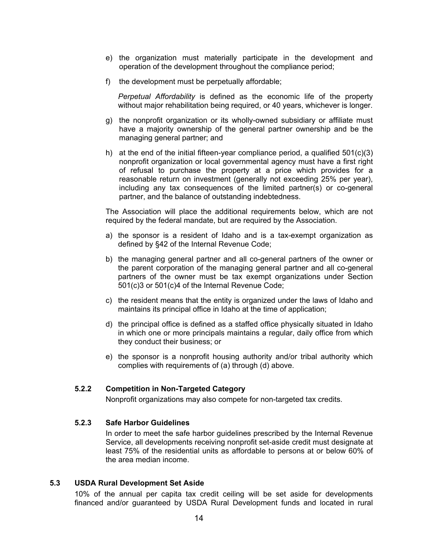- <span id="page-18-0"></span>e) the organization must materially participate in the development and operation of the development throughout the compliance period;
- f) the development must be perpetually affordable;

*Perpetual Affordability* is defined as the economic life of the property without major rehabilitation being required, or 40 years, whichever is longer.

- g) the nonprofit organization or its wholly-owned subsidiary or affiliate must have a majority ownership of the general partner ownership and be the managing general partner; and
- h) at the end of the initial fifteen-year compliance period, a qualified  $501(c)(3)$ nonprofit organization or local governmental agency must have a first right of refusal to purchase the property at a price which provides for a reasonable return on investment (generally not exceeding 25% per year), including any tax consequences of the limited partner(s) or co-general partner, and the balance of outstanding indebtedness.

The Association will place the additional requirements below, which are not required by the federal mandate, but are required by the Association.

- a) the sponsor is a resident of Idaho and is a tax-exempt organization as defined by §42 of the Internal Revenue Code;
- b) the managing general partner and all co-general partners of the owner or the parent corporation of the managing general partner and all co-general partners of the owner must be tax exempt organizations under Section 501(c)3 or 501(c)4 of the Internal Revenue Code;
- c) the resident means that the entity is organized under the laws of Idaho and maintains its principal office in Idaho at the time of application;
- d) the principal office is defined as a staffed office physically situated in Idaho in which one or more principals maintains a regular, daily office from which they conduct their business; or
- e) the sponsor is a nonprofit housing authority and/or tribal authority which complies with requirements of (a) through (d) above.

#### **5.2.2 Competition in Non-Targeted Category**

Nonprofit organizations may also compete for non-targeted tax credits.

## **5.2.3 Safe Harbor Guidelines**

In order to meet the safe harbor guidelines prescribed by the Internal Revenue Service, all developments receiving nonprofit set-aside credit must designate at least 75% of the residential units as affordable to persons at or below 60% of the area median income.

#### **5.3 USDA Rural Development Set Aside**

10% of the annual per capita tax credit ceiling will be set aside for developments financed and/or guaranteed by USDA Rural Development funds and located in rural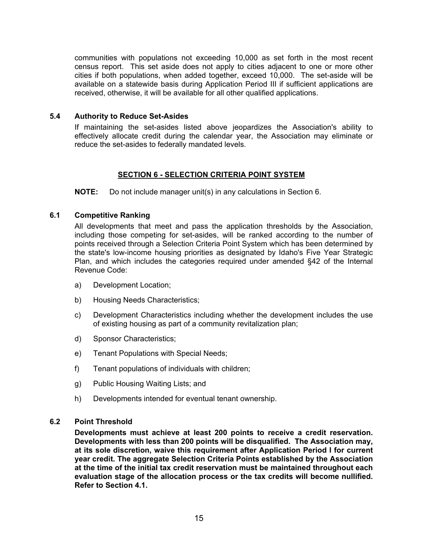<span id="page-19-0"></span>communities with populations not exceeding 10,000 as set forth in the most recent census report. This set aside does not apply to cities adjacent to one or more other cities if both populations, when added together, exceed 10,000. The set-aside will be available on a statewide basis during Application Period III if sufficient applications are received, otherwise, it will be available for all other qualified applications.

# **5.4 Authority to Reduce Set-Asides**

If maintaining the set-asides listed above jeopardizes the Association's ability to effectively allocate credit during the calendar year, the Association may eliminate or reduce the set-asides to federally mandated levels.

# **SECTION 6 - SELECTION CRITERIA POINT SYSTEM**

**NOTE:** Do not include manager unit(s) in any calculations in Section 6.

# **6.1 Competitive Ranking**

All developments that meet and pass the application thresholds by the Association, including those competing for set-asides, will be ranked according to the number of points received through a Selection Criteria Point System which has been determined by the state's low-income housing priorities as designated by Idaho's Five Year Strategic Plan, and which includes the categories required under amended §42 of the Internal Revenue Code:

- a) Development Location;
- b) Housing Needs Characteristics;
- c) Development Characteristics including whether the development includes the use of existing housing as part of a community revitalization plan;
- d) Sponsor Characteristics;
- e) Tenant Populations with Special Needs;
- f) Tenant populations of individuals with children;
- g) Public Housing Waiting Lists; and
- h) Developments intended for eventual tenant ownership.

#### **6.2 Point Threshold**

**Developments must achieve at least 200 points to receive a credit reservation. Developments with less than 200 points will be disqualified. The Association may, at its sole discretion, waive this requirement after Application Period I for current year credit. The aggregate Selection Criteria Points established by the Association at the time of the initial tax credit reservation must be maintained throughout each evaluation stage of the allocation process or the tax credits will become nullified. Refer to Section 4.1.**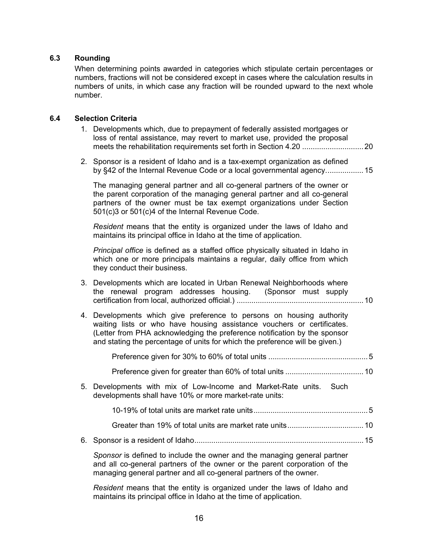# <span id="page-20-0"></span>**6.3 Rounding**

When determining points awarded in categories which stipulate certain percentages or numbers, fractions will not be considered except in cases where the calculation results in numbers of units, in which case any fraction will be rounded upward to the next whole number.

# **6.4 Selection Criteria**

- 1. Developments which, due to prepayment of federally assisted mortgages or loss of rental assistance, may revert to market use, provided the proposal meets the rehabilitation requirements set forth in Section 4.20 .............................20
- 2. Sponsor is a resident of Idaho and is a tax-exempt organization as defined by §42 of the Internal Revenue Code or a local governmental agency..................15

The managing general partner and all co-general partners of the owner or the parent corporation of the managing general partner and all co-general partners of the owner must be tax exempt organizations under Section 501(c)3 or 501(c)4 of the Internal Revenue Code.

*Resident* means that the entity is organized under the laws of Idaho and maintains its principal office in Idaho at the time of application.

*Principal office* is defined as a staffed office physically situated in Idaho in which one or more principals maintains a regular, daily office from which they conduct their business.

|  |  | 3. Developments which are located in Urban Renewal Neighborhoods where |  |  |
|--|--|------------------------------------------------------------------------|--|--|
|  |  | the renewal program addresses housing. (Sponsor must supply            |  |  |
|  |  |                                                                        |  |  |

4. Developments which give preference to persons on housing authority waiting lists or who have housing assistance vouchers or certificates. (Letter from PHA acknowledging the preference notification by the sponsor and stating the percentage of units for which the preference will be given.)

|--|

- Preference given for greater than 60% of total units .....................................10
- 5. Developments with mix of Low-Income and Market-Rate units. Such developments shall have 10% or more market-rate units:
	- 10-19% of total units are market rate units......................................................5
	- Greater than 19% of total units are market rate units....................................10
- 6. Sponsor is a resident of Idaho................................................................................15

*Sponsor* is defined to include the owner and the managing general partner and all co-general partners of the owner or the parent corporation of the managing general partner and all co-general partners of the owner.

*Resident* means that the entity is organized under the laws of Idaho and maintains its principal office in Idaho at the time of application.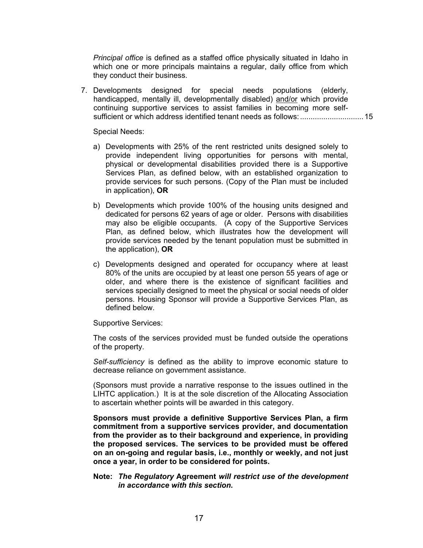*Principal office* is defined as a staffed office physically situated in Idaho in which one or more principals maintains a regular, daily office from which they conduct their business.

7. Developments designed for special needs populations (elderly, handicapped, mentally ill, developmentally disabled) and/or which provide continuing supportive services to assist families in becoming more selfsufficient or which address identified tenant needs as follows:..............................15

Special Needs:

- a) Developments with 25% of the rent restricted units designed solely to provide independent living opportunities for persons with mental, physical or developmental disabilities provided there is a Supportive Services Plan, as defined below, with an established organization to provide services for such persons. (Copy of the Plan must be included in application), **OR**
- b) Developments which provide 100% of the housing units designed and dedicated for persons 62 years of age or older. Persons with disabilities may also be eligible occupants. (A copy of the Supportive Services Plan, as defined below, which illustrates how the development will provide services needed by the tenant population must be submitted in the application), **OR**
- c) Developments designed and operated for occupancy where at least 80% of the units are occupied by at least one person 55 years of age or older, and where there is the existence of significant facilities and services specially designed to meet the physical or social needs of older persons. Housing Sponsor will provide a Supportive Services Plan, as defined below.

Supportive Services:

The costs of the services provided must be funded outside the operations of the property.

*Self-sufficiency* is defined as the ability to improve economic stature to decrease reliance on government assistance.

(Sponsors must provide a narrative response to the issues outlined in the LIHTC application.) It is at the sole discretion of the Allocating Association to ascertain whether points will be awarded in this category.

**Sponsors must provide a definitive Supportive Services Plan, a firm commitment from a supportive services provider, and documentation from the provider as to their background and experience, in providing the proposed services. The services to be provided must be offered on an on-going and regular basis, i.e., monthly or weekly, and not just once a year, in order to be considered for points.** 

**Note:** *The Regulatory* **Agreement** *will restrict use of the development in accordance with this section***.**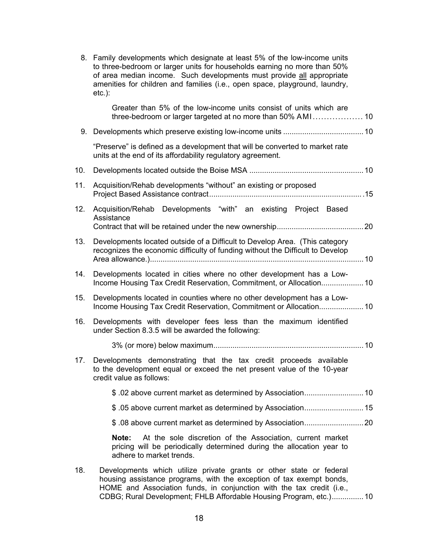- 8. Family developments which designate at least 5% of the low-income units to three-bedroom or larger units for households earning no more than 50% of area median income. Such developments must provide all appropriate amenities for children and families (i.e., open space, playground, laundry, etc.): Greater than 5% of the low-income units consist of units which are three-bedroom or larger targeted at no more than 50% AMI .................. 10 9. Developments which preserve existing low-income units ......................................10 "Preserve" is defined as a development that will be converted to market rate units at the end of its affordability regulatory agreement. 10. Developments located outside the Boise MSA ......................................................10 11. Acquisition/Rehab developments "without" an existing or proposed Project Based Assistance contract.........................................................................15 12. Acquisition/Rehab Developments "with" an existing Project Based **Assistance** Contract that will be retained under the new ownership.........................................20 13. Developments located outside of a Difficult to Develop Area. (This category recognizes the economic difficulty of funding without the Difficult to Develop Area allowance.).....................................................................................................10 14. Developments located in cities where no other development has a Low-Income Housing Tax Credit Reservation, Commitment, or Allocation....................10 15. Developments located in counties where no other development has a Low-Income Housing Tax Credit Reservation, Commitment or Allocation.....................10 16. Developments with developer fees less than the maximum identified under Section 8.3.5 will be awarded the following: 3% (or more) below maximum.......................................................................10 17. Developments demonstrating that the tax credit proceeds available to the development equal or exceed the net present value of the 10-year credit value as follows: \$ .02 above current market as determined by Association............................10 \$ .05 above current market as determined by Association............................15 \$ .08 above current market as determined by Association............................20 **Note:** At the sole discretion of the Association, current market pricing will be periodically determined during the allocation year to adhere to market trends. 18. Developments which utilize private grants or other state or federal
	- housing assistance programs, with the exception of tax exempt bonds, HOME and Association funds, in conjunction with the tax credit (i.e., CDBG; Rural Development; FHLB Affordable Housing Program, etc.)...............10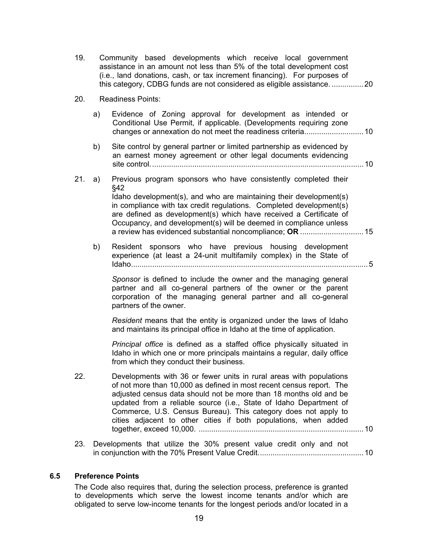- <span id="page-23-0"></span>19. Community based developments which receive local government assistance in an amount not less than 5% of the total development cost (i.e., land donations, cash, or tax increment financing). For purposes of this category, CDBG funds are not considered as eligible assistance. ...............20
- 20. Readiness Points:
	- a) Evidence of Zoning approval for development as intended or Conditional Use Permit, if applicable. (Developments requiring zone changes or annexation do not meet the readiness criteria............................10
	- b) Site control by general partner or limited partnership as evidenced by an earnest money agreement or other legal documents evidencing site control.....................................................................................................10
- 21. a) Previous program sponsors who have consistently completed their §42 Idaho development(s), and who are maintaining their development(s) in compliance with tax credit regulations. Completed development(s) are defined as development(s) which have received a Certificate of Occupancy, and development(s) will be deemed in compliance unless a review has evidenced substantial noncompliance; **OR** ..............................15
	- b) Resident sponsors who have previous housing development experience (at least a 24-unit multifamily complex) in the State of Idaho................................................................................................................5

*Sponsor* is defined to include the owner and the managing general partner and all co-general partners of the owner or the parent corporation of the managing general partner and all co-general partners of the owner.

*Resident* means that the entity is organized under the laws of Idaho and maintains its principal office in Idaho at the time of application.

*Principal office* is defined as a staffed office physically situated in Idaho in which one or more principals maintains a regular, daily office from which they conduct their business.

- 22. Developments with 36 or fewer units in rural areas with populations of not more than 10,000 as defined in most recent census report. The adjusted census data should not be more than 18 months old and be updated from a reliable source (i.e., State of Idaho Department of Commerce, U.S. Census Bureau). This category does not apply to cities adjacent to other cities if both populations, when added together, exceed 10,000. ..............................................................................10
- 23. Developments that utilize the 30% present value credit only and not in conjunction with the 70% Present Value Credit..................................................10

#### **6.5 Preference Points**

The Code also requires that, during the selection process, preference is granted to developments which serve the lowest income tenants and/or which are obligated to serve low-income tenants for the longest periods and/or located in a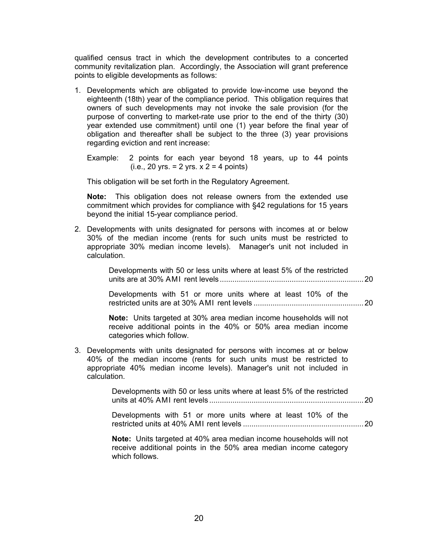qualified census tract in which the development contributes to a concerted community revitalization plan. Accordingly, the Association will grant preference points to eligible developments as follows:

1. Developments which are obligated to provide low-income use beyond the eighteenth (18th) year of the compliance period. This obligation requires that owners of such developments may not invoke the sale provision (for the purpose of converting to market-rate use prior to the end of the thirty (30) year extended use commitment) until one (1) year before the final year of obligation and thereafter shall be subject to the three (3) year provisions regarding eviction and rent increase:

Example: 2 points for each year beyond 18 years, up to 44 points  $(i.e., 20 yrs. = 2 yrs. x 2 = 4 points)$ 

This obligation will be set forth in the Regulatory Agreement.

**Note:** This obligation does not release owners from the extended use commitment which provides for compliance with §42 regulations for 15 years beyond the initial 15-year compliance period.

2. Developments with units designated for persons with incomes at or below 30% of the median income (rents for such units must be restricted to appropriate 30% median income levels). Manager's unit not included in calculation.

> Developments with 50 or less units where at least 5% of the restricted units are at 30% AMI rent levels ....................................................................20

> Developments with 51 or more units where at least 10% of the restricted units are at 30% AMI rent levels ....................................................20

**Note:** Units targeted at 30% area median income households will not receive additional points in the 40% or 50% area median income categories which follow.

3. Developments with units designated for persons with incomes at or below 40% of the median income (rents for such units must be restricted to appropriate 40% median income levels). Manager's unit not included in calculation.

> Developments with 50 or less units where at least 5% of the restricted units at 40% AMI rent levels .........................................................................20

> Developments with 51 or more units where at least 10% of the restricted units at 40% AMI rent levels .........................................................20

**Note:** Units targeted at 40% area median income households will not receive additional points in the 50% area median income category which follows.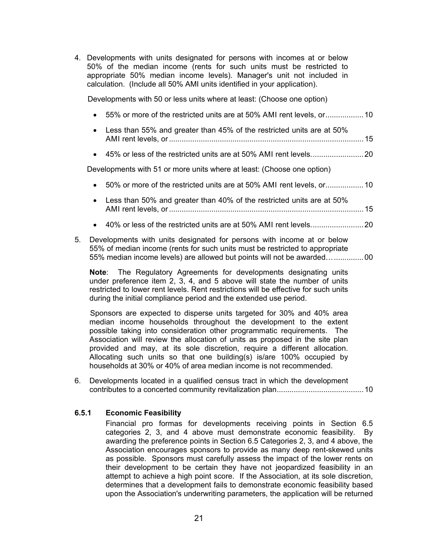<span id="page-25-0"></span>4. Developments with units designated for persons with incomes at or below 50% of the median income (rents for such units must be restricted to appropriate 50% median income levels). Manager's unit not included in calculation. (Include all 50% AMI units identified in your application).

Developments with 50 or less units where at least: (Choose one option)

| $\bullet$ |                                                                         |  |
|-----------|-------------------------------------------------------------------------|--|
| $\bullet$ | Less than 55% and greater than 45% of the restricted units are at 50%   |  |
| $\bullet$ |                                                                         |  |
|           | Developments with 51 or more units where at least: (Choose one option)  |  |
| $\bullet$ |                                                                         |  |
|           | • Less than 50% and greater than 40% of the restricted units are at 50% |  |

- AMI rent levels, or............................................................................................15
- 40% or less of the restricted units are at 50% AMI rent levels.........................20
- 5. Developments with units designated for persons with income at or below 55% of median income (rents for such units must be restricted to appropriate 55% median income levels) are allowed but points will not be awarded…..............00

**Note**: The Regulatory Agreements for developments designating units under preference item 2, 3, 4, and 5 above will state the number of units restricted to lower rent levels. Rent restrictions will be effective for such units during the initial compliance period and the extended use period.

Sponsors are expected to disperse units targeted for 30% and 40% area median income households throughout the development to the extent possible taking into consideration other programmatic requirements. The Association will review the allocation of units as proposed in the site plan provided and may, at its sole discretion, require a different allocation. Allocating such units so that one building(s) is/are 100% occupied by households at 30% or 40% of area median income is not recommended.

6. Developments located in a qualified census tract in which the development contributes to a concerted community revitalization plan.........................................10

### **6.5.1 Economic Feasibility**

Financial pro formas for developments receiving points in Section 6.5 categories 2, 3, and 4 above must demonstrate economic feasibility. By awarding the preference points in Section 6.5 Categories 2, 3, and 4 above, the Association encourages sponsors to provide as many deep rent-skewed units as possible. Sponsors must carefully assess the impact of the lower rents on their development to be certain they have not jeopardized feasibility in an attempt to achieve a high point score. If the Association, at its sole discretion, determines that a development fails to demonstrate economic feasibility based upon the Association's underwriting parameters, the application will be returned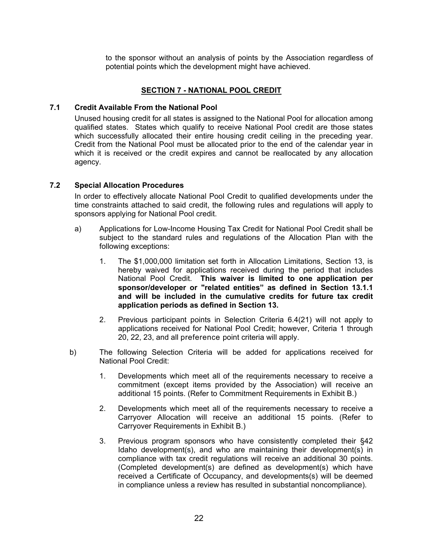to the sponsor without an analysis of points by the Association regardless of potential points which the development might have achieved.

## **SECTION 7 - NATIONAL POOL CREDIT**

# <span id="page-26-0"></span>**7.1 Credit Available From the National Pool**

Unused housing credit for all states is assigned to the National Pool for allocation among qualified states. States which qualify to receive National Pool credit are those states which successfully allocated their entire housing credit ceiling in the preceding year. Credit from the National Pool must be allocated prior to the end of the calendar year in which it is received or the credit expires and cannot be reallocated by any allocation agency.

## **7.2 Special Allocation Procedures**

In order to effectively allocate National Pool Credit to qualified developments under the time constraints attached to said credit, the following rules and regulations will apply to sponsors applying for National Pool credit.

- a) Applications for Low-Income Housing Tax Credit for National Pool Credit shall be subject to the standard rules and regulations of the Allocation Plan with the following exceptions:
	- 1. The \$1,000,000 limitation set forth in Allocation Limitations, Section 13, is hereby waived for applications received during the period that includes National Pool Credit. **This waiver is limited to one application per sponsor/developer or "related entities" as defined in Section 13.1.1 and will be included in the cumulative credits for future tax credit application periods as defined in Section 13.**
	- 2. Previous participant points in Selection Criteria 6.4(21) will not apply to applications received for National Pool Credit; however, Criteria 1 through 20, 22, 23, and all preference point criteria will apply.
- b) The following Selection Criteria will be added for applications received for National Pool Credit:
	- 1. Developments which meet all of the requirements necessary to receive a commitment (except items provided by the Association) will receive an additional 15 points. (Refer to Commitment Requirements in Exhibit B.)
	- 2. Developments which meet all of the requirements necessary to receive a Carryover Allocation will receive an additional 15 points. (Refer to Carryover Requirements in Exhibit B.)
	- 3. Previous program sponsors who have consistently completed their §42 Idaho development(s), and who are maintaining their development(s) in compliance with tax credit regulations will receive an additional 30 points. (Completed development(s) are defined as development(s) which have received a Certificate of Occupancy, and developments(s) will be deemed in compliance unless a review has resulted in substantial noncompliance).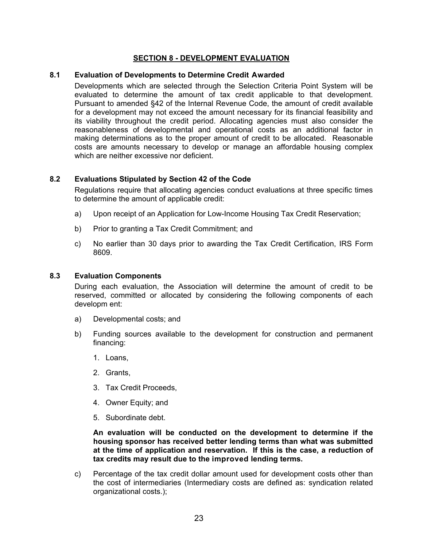# **SECTION 8 - DEVELOPMENT EVALUATION**

#### <span id="page-27-0"></span>**8.1 Evaluation of Developments to Determine Credit Awarded**

Developments which are selected through the Selection Criteria Point System will be evaluated to determine the amount of tax credit applicable to that development. Pursuant to amended §42 of the Internal Revenue Code, the amount of credit available for a development may not exceed the amount necessary for its financial feasibility and its viability throughout the credit period. Allocating agencies must also consider the reasonableness of developmental and operational costs as an additional factor in making determinations as to the proper amount of credit to be allocated. Reasonable costs are amounts necessary to develop or manage an affordable housing complex which are neither excessive nor deficient.

## **8.2 Evaluations Stipulated by Section 42 of the Code**

Regulations require that allocating agencies conduct evaluations at three specific times to determine the amount of applicable credit:

- a) Upon receipt of an Application for Low-Income Housing Tax Credit Reservation;
- b) Prior to granting a Tax Credit Commitment; and
- c) No earlier than 30 days prior to awarding the Tax Credit Certification, IRS Form 8609.

#### **8.3 Evaluation Components**

During each evaluation, the Association will determine the amount of credit to be reserved, committed or allocated by considering the following components of each developm ent:

- a) Developmental costs; and
- b) Funding sources available to the development for construction and permanent financing:
	- 1. Loans,
	- 2. Grants,
	- 3. Tax Credit Proceeds,
	- 4. Owner Equity; and
	- 5. Subordinate debt.

**An evaluation will be conducted on the development to determine if the housing sponsor has received better lending terms than what was submitted at the time of application and reservation. If this is the case, a reduction of tax credits may result due to the improved lending terms.** 

c) Percentage of the tax credit dollar amount used for development costs other than the cost of intermediaries (Intermediary costs are defined as: syndication related organizational costs.);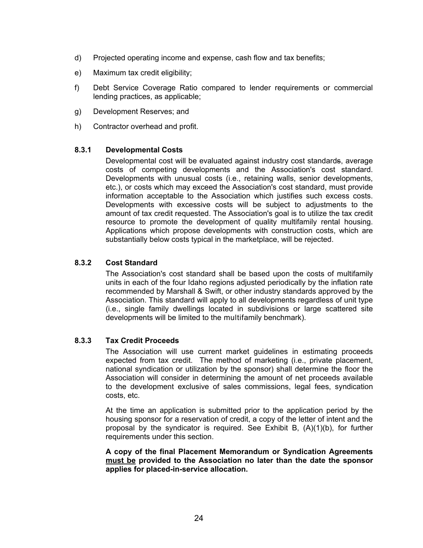- <span id="page-28-0"></span>d) Projected operating income and expense, cash flow and tax benefits;
- e) Maximum tax credit eligibility;
- f) Debt Service Coverage Ratio compared to lender requirements or commercial lending practices, as applicable;
- g) Development Reserves; and
- h) Contractor overhead and profit.

## **8.3.1 Developmental Costs**

Developmental cost will be evaluated against industry cost standards, average costs of competing developments and the Association's cost standard. Developments with unusual costs (i.e., retaining walls, senior developments, etc.), or costs which may exceed the Association's cost standard, must provide information acceptable to the Association which justifies such excess costs. Developments with excessive costs will be subject to adjustments to the amount of tax credit requested. The Association's goal is to utilize the tax credit resource to promote the development of quality multifamily rental housing. Applications which propose developments with construction costs, which are substantially below costs typical in the marketplace, will be rejected.

# **8.3.2 Cost Standard**

The Association's cost standard shall be based upon the costs of multifamily units in each of the four Idaho regions adjusted periodically by the inflation rate recommended by Marshall & Swift, or other industry standards approved by the Association. This standard will apply to all developments regardless of unit type (i.e., single family dwellings located in subdivisions or large scattered site developments will be limited to the multifamily benchmark).

# **8.3.3 Tax Credit Proceeds**

The Association will use current market guidelines in estimating proceeds expected from tax credit. The method of marketing (i.e., private placement, national syndication or utilization by the sponsor) shall determine the floor the Association will consider in determining the amount of net proceeds available to the development exclusive of sales commissions, legal fees, syndication costs, etc.

At the time an application is submitted prior to the application period by the housing sponsor for a reservation of credit, a copy of the letter of intent and the proposal by the syndicator is required. See Exhibit B, (A)(1)(b), for further requirements under this section.

**A copy of the final Placement Memorandum or Syndication Agreements must be provided to the Association no later than the date the sponsor applies for placed-in-service allocation.**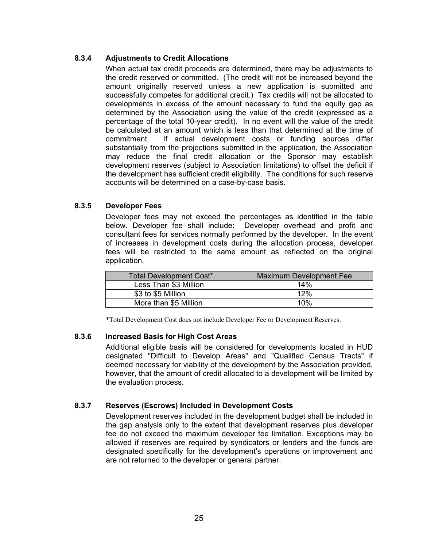# <span id="page-29-0"></span>**8.3.4 Adjustments to Credit Allocations**

When actual tax credit proceeds are determined, there may be adjustments to the credit reserved or committed. (The credit will not be increased beyond the amount originally reserved unless a new application is submitted and successfully competes for additional credit.) Tax credits will not be allocated to developments in excess of the amount necessary to fund the equity gap as determined by the Association using the value of the credit (expressed as a percentage of the total 10-year credit). In no event will the value of the credit be calculated at an amount which is less than that determined at the time of commitment. If actual development costs or funding sources differ substantially from the projections submitted in the application, the Association may reduce the final credit allocation or the Sponsor may establish development reserves (subject to Association limitations) to offset the deficit if the development has sufficient credit eligibility. The conditions for such reserve accounts will be determined on a case-by-case basis.

# **8.3.5 Developer Fees**

Developer fees may not exceed the percentages as identified in the table below. Developer fee shall include: Developer overhead and profit and consultant fees for services normally performed by the developer. In the event of increases in development costs during the allocation process, developer fees will be restricted to the same amount as reflected on the original application.

| <b>Total Development Cost*</b> | <b>Maximum Development Fee</b> |  |
|--------------------------------|--------------------------------|--|
| Less Than \$3 Million          | 14%                            |  |
| \$3 to \$5 Million             | 12%                            |  |
| More than \$5 Million          | 10%                            |  |

\*Total Development Cost does not include Developer Fee or Development Reserves.

# **8.3.6 Increased Basis for High Cost Areas**

Additional eligible basis will be considered for developments located in HUD designated "Difficult to Develop Areas" and "Qualified Census Tracts" if deemed necessary for viability of the development by the Association provided, however, that the amount of credit allocated to a development will be limited by the evaluation process.

# **8.3.7 Reserves (Escrows) Included in Development Costs**

Development reserves included in the development budget shall be included in the gap analysis only to the extent that development reserves plus developer fee do not exceed the maximum developer fee limitation. Exceptions may be allowed if reserves are required by syndicators or lenders and the funds are designated specifically for the development's operations or improvement and are not returned to the developer or general partner.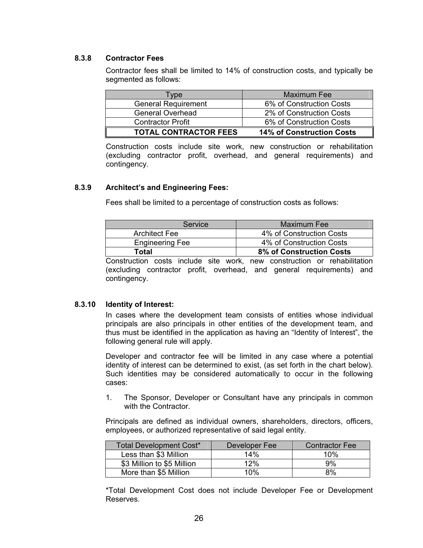# <span id="page-30-0"></span>**8.3.8 Contractor Fees**

Contractor fees shall be limited to 14% of construction costs, and typically be segmented as follows:

| <b>Type</b>                  | Maximum Fee                      |  |
|------------------------------|----------------------------------|--|
| <b>General Requirement</b>   | 6% of Construction Costs         |  |
| <b>General Overhead</b>      | 2% of Construction Costs         |  |
| <b>Contractor Profit</b>     | 6% of Construction Costs         |  |
| <b>TOTAL CONTRACTOR FEES</b> | <b>14% of Construction Costs</b> |  |

Construction costs include site work, new construction or rehabilitation (excluding contractor profit, overhead, and general requirements) and contingency.

## **8.3.9 Architect's and Engineering Fees:**

Fees shall be limited to a percentage of construction costs as follows:

| <b>Service</b>         | Maximum Fee                     |  |
|------------------------|---------------------------------|--|
| <b>Architect Fee</b>   | 4% of Construction Costs        |  |
| <b>Engineering Fee</b> | 4% of Construction Costs        |  |
| Total                  | <b>8% of Construction Costs</b> |  |

Construction costs include site work, new construction or rehabilitation (excluding contractor profit, overhead, and general requirements) and contingency.

#### **8.3.10 Identity of Interest:**

In cases where the development team consists of entities whose individual principals are also principals in other entities of the development team, and thus must be identified in the application as having an "Identity of Interest", the following general rule will apply.

Developer and contractor fee will be limited in any case where a potential identity of interest can be determined to exist, (as set forth in the chart below). Such identities may be considered automatically to occur in the following cases:

1. The Sponsor, Developer or Consultant have any principals in common with the Contractor.

Principals are defined as individual owners, shareholders, directors, officers, employees, or authorized representative of said legal entity.

| <b>Total Development Cost*</b> | Developer Fee | <b>Contractor Fee</b> |
|--------------------------------|---------------|-----------------------|
| Less than \$3 Million          | 14%           | 10%                   |
| \$3 Million to \$5 Million     | 12%           | 9%                    |
| More than \$5 Million          | 10%           | 8%                    |

\*Total Development Cost does not include Developer Fee or Development Reserves.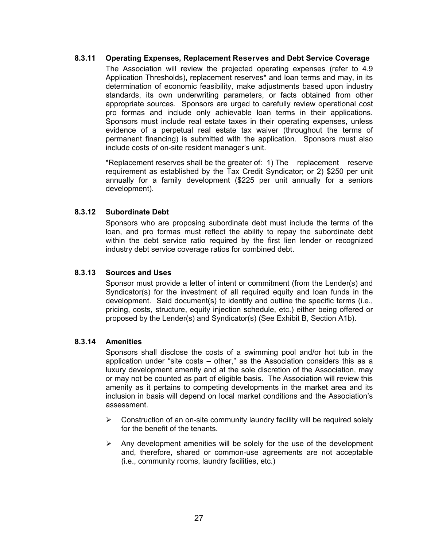### <span id="page-31-0"></span>**8.3.11 Operating Expenses, Replacement Reserves and Debt Service Coverage**

The Association will review the projected operating expenses (refer to 4.9 Application Thresholds), replacement reserves\* and loan terms and may, in its determination of economic feasibility, make adjustments based upon industry standards, its own underwriting parameters, or facts obtained from other appropriate sources. Sponsors are urged to carefully review operational cost pro formas and include only achievable loan terms in their applications. Sponsors must include real estate taxes in their operating expenses, unless evidence of a perpetual real estate tax waiver (throughout the terms of permanent financing) is submitted with the application. Sponsors must also include costs of on-site resident manager's unit.

\*Replacement reserves shall be the greater of: 1) The replacement reserve requirement as established by the Tax Credit Syndicator; or 2) \$250 per unit annually for a family development (\$225 per unit annually for a seniors development).

# **8.3.12 Subordinate Debt**

Sponsors who are proposing subordinate debt must include the terms of the loan, and pro formas must reflect the ability to repay the subordinate debt within the debt service ratio required by the first lien lender or recognized industry debt service coverage ratios for combined debt.

# **8.3.13 Sources and Uses**

Sponsor must provide a letter of intent or commitment (from the Lender(s) and Syndicator(s) for the investment of all required equity and loan funds in the development. Said document(s) to identify and outline the specific terms (i.e., pricing, costs, structure, equity injection schedule, etc.) either being offered or proposed by the Lender(s) and Syndicator(s) (See Exhibit B, Section A1b).

#### **8.3.14 Amenities**

Sponsors shall disclose the costs of a swimming pool and/or hot tub in the application under "site costs – other," as the Association considers this as a luxury development amenity and at the sole discretion of the Association, may or may not be counted as part of eligible basis. The Association will review this amenity as it pertains to competing developments in the market area and its inclusion in basis will depend on local market conditions and the Association's assessment.

- $\triangleright$  Construction of an on-site community laundry facility will be required solely for the benefit of the tenants.
- $\triangleright$  Any development amenities will be solely for the use of the development and, therefore, shared or common-use agreements are not acceptable (i.e., community rooms, laundry facilities, etc.)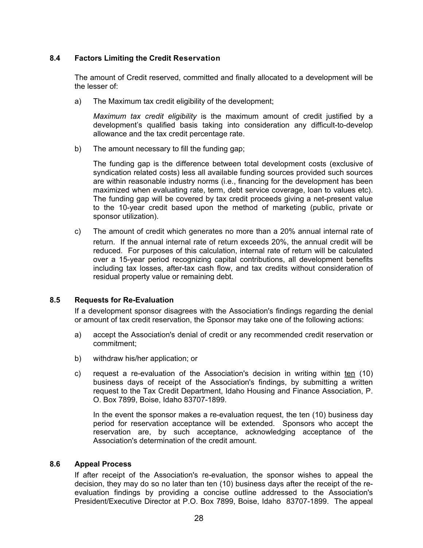# <span id="page-32-0"></span>**8.4 Factors Limiting the Credit Reservation**

The amount of Credit reserved, committed and finally allocated to a development will be the lesser of:

a) The Maximum tax credit eligibility of the development;

*Maximum tax credit eligibility* is the maximum amount of credit justified by a development's qualified basis taking into consideration any difficult-to-develop allowance and the tax credit percentage rate.

b) The amount necessary to fill the funding gap;

The funding gap is the difference between total development costs (exclusive of syndication related costs) less all available funding sources provided such sources are within reasonable industry norms (i.e., financing for the development has been maximized when evaluating rate, term, debt service coverage, loan to values etc). The funding gap will be covered by tax credit proceeds giving a net-present value to the 10-year credit based upon the method of marketing (public, private or sponsor utilization).

c) The amount of credit which generates no more than a 20% annual internal rate of return. If the annual internal rate of return exceeds 20%, the annual credit will be reduced. For purposes of this calculation, internal rate of return will be calculated over a 15-year period recognizing capital contributions, all development benefits including tax losses, after-tax cash flow, and tax credits without consideration of residual property value or remaining debt.

# **8.5 Requests for Re-Evaluation**

If a development sponsor disagrees with the Association's findings regarding the denial or amount of tax credit reservation, the Sponsor may take one of the following actions:

- a) accept the Association's denial of credit or any recommended credit reservation or commitment;
- b) withdraw his/her application; or
- c) request a re-evaluation of the Association's decision in writing within ten (10) business days of receipt of the Association's findings, by submitting a written request to the Tax Credit Department, Idaho Housing and Finance Association, P. O. Box 7899, Boise, Idaho 83707-1899.

In the event the sponsor makes a re-evaluation request, the ten (10) business day period for reservation acceptance will be extended. Sponsors who accept the reservation are, by such acceptance, acknowledging acceptance of the Association's determination of the credit amount.

# **8.6 Appeal Process**

If after receipt of the Association's re-evaluation, the sponsor wishes to appeal the decision, they may do so no later than ten (10) business days after the receipt of the reevaluation findings by providing a concise outline addressed to the Association's President/Executive Director at P.O. Box 7899, Boise, Idaho 83707-1899. The appeal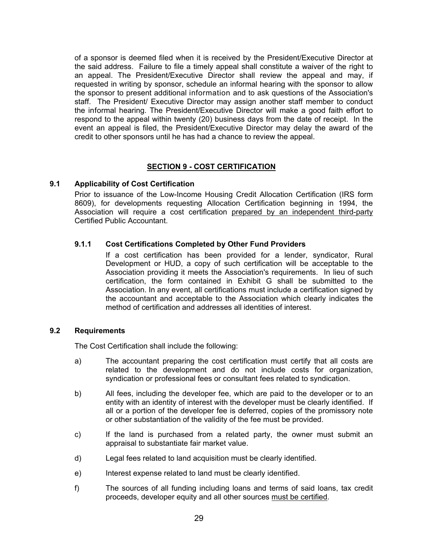<span id="page-33-0"></span>of a sponsor is deemed filed when it is received by the President/Executive Director at the said address. Failure to file a timely appeal shall constitute a waiver of the right to an appeal. The President/Executive Director shall review the appeal and may, if requested in writing by sponsor, schedule an informal hearing with the sponsor to allow the sponsor to present additional information and to ask questions of the Association's staff. The President/ Executive Director may assign another staff member to conduct the informal hearing. The President/Executive Director will make a good faith effort to respond to the appeal within twenty (20) business days from the date of receipt. In the event an appeal is filed, the President/Executive Director may delay the award of the credit to other sponsors until he has had a chance to review the appeal.

# **SECTION 9 - COST CERTIFICATION**

# **9.1 Applicability of Cost Certification**

Prior to issuance of the Low-Income Housing Credit Allocation Certification (IRS form 8609), for developments requesting Allocation Certification beginning in 1994, the Association will require a cost certification prepared by an independent third-party Certified Public Accountant.

# **9.1.1 Cost Certifications Completed by Other Fund Providers**

If a cost certification has been provided for a lender, syndicator, Rural Development or HUD, a copy of such certification will be acceptable to the Association providing it meets the Association's requirements. In lieu of such certification, the form contained in Exhibit G shall be submitted to the Association. In any event, all certifications must include a certification signed by the accountant and acceptable to the Association which clearly indicates the method of certification and addresses all identities of interest.

# **9.2 Requirements**

The Cost Certification shall include the following:

- a) The accountant preparing the cost certification must certify that all costs are related to the development and do not include costs for organization, syndication or professional fees or consultant fees related to syndication.
- b) All fees, including the developer fee, which are paid to the developer or to an entity with an identity of interest with the developer must be clearly identified. If all or a portion of the developer fee is deferred, copies of the promissory note or other substantiation of the validity of the fee must be provided.
- c) If the land is purchased from a related party, the owner must submit an appraisal to substantiate fair market value.
- d) Legal fees related to land acquisition must be clearly identified.
- e) Interest expense related to land must be clearly identified.
- f) The sources of all funding including loans and terms of said loans, tax credit proceeds, developer equity and all other sources must be certified.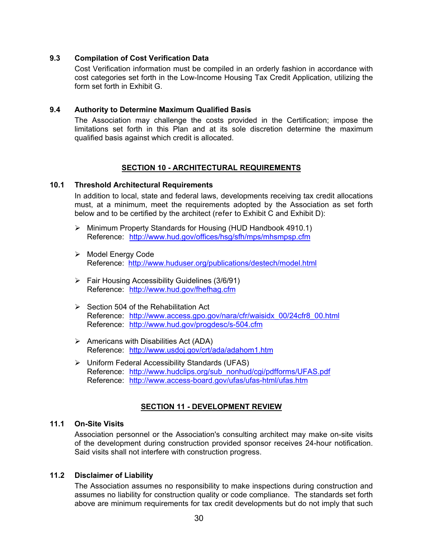## <span id="page-34-0"></span>**9.3 Compilation of Cost Verification Data**

Cost Verification information must be compiled in an orderly fashion in accordance with cost categories set forth in the Low-Income Housing Tax Credit Application, utilizing the form set forth in Exhibit G.

#### **9.4 Authority to Determine Maximum Qualified Basis**

The Association may challenge the costs provided in the Certification; impose the limitations set forth in this Plan and at its sole discretion determine the maximum qualified basis against which credit is allocated.

## **SECTION 10 - ARCHITECTURAL REQUIREMENTS**

## **10.1 Threshold Architectural Requirements**

In addition to local, state and federal laws, developments receiving tax credit allocations must, at a minimum, meet the requirements adopted by the Association as set forth below and to be certified by the architect (refer to Exhibit C and Exhibit D):

- ¾ Minimum Property Standards for Housing (HUD Handbook 4910.1) Reference: <http://www.hud.gov/offices/hsg/sfh/mps/mhsmpsp.cfm>
- ¾ Model Energy Code Reference: <http://www.huduser.org/publications/destech/model.html>
- ¾ Fair Housing Accessibility Guidelines (3/6/91) Reference: <http://www.hud.gov/fhefhag.cfm>
- $\triangleright$  Section 504 of the Rehabilitation Act Reference: http://www.access.gpo.gov/nara/cfr/waisidx 00/24cfr8 00.html Reference: <http://www.hud.gov/progdesc/s-504.cfm>
- $\triangleright$  Americans with Disabilities Act (ADA) Reference: <http://www.usdoj.gov/crt/ada/adahom1.htm>
- ¾ Uniform Federal Accessibility Standards (UFAS) Reference: [http://www.hudclips.org/sub\\_nonhud/cgi/pdfforms/UFAS.pdf](http://www.hudclips.org/sub_nonhud/cgi/pdfforms/UFAS.pdf) Reference: <http://www.access-board.gov/ufas/ufas-html/ufas.htm>

# **SECTION 11 - DEVELOPMENT REVIEW**

# **11.1 On-Site Visits**

Association personnel or the Association's consulting architect may make on-site visits of the development during construction provided sponsor receives 24-hour notification. Said visits shall not interfere with construction progress.

#### **11.2 Disclaimer of Liability**

The Association assumes no responsibility to make inspections during construction and assumes no liability for construction quality or code compliance. The standards set forth above are minimum requirements for tax credit developments but do not imply that such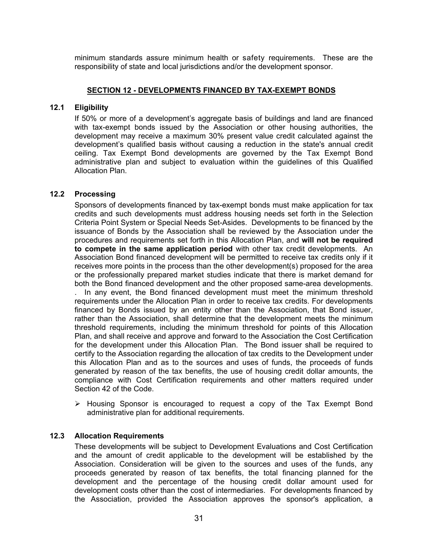<span id="page-35-0"></span>minimum standards assure minimum health or safety requirements. These are the responsibility of state and local jurisdictions and/or the development sponsor.

## **SECTION 12 - DEVELOPMENTS FINANCED BY TAX-EXEMPT BONDS**

# **12.1 Eligibility**

If 50% or more of a development's aggregate basis of buildings and land are financed with tax-exempt bonds issued by the Association or other housing authorities, the development may receive a maximum 30% present value credit calculated against the development's qualified basis without causing a reduction in the state's annual credit ceiling. Tax Exempt Bond developments are governed by the Tax Exempt Bond administrative plan and subject to evaluation within the guidelines of this Qualified Allocation Plan.

# **12.2 Processing**

Sponsors of developments financed by tax-exempt bonds must make application for tax credits and such developments must address housing needs set forth in the Selection Criteria Point System or Special Needs Set-Asides. Developments to be financed by the issuance of Bonds by the Association shall be reviewed by the Association under the procedures and requirements set forth in this Allocation Plan, and **will not be required to compete in the same application period** with other tax credit developments. An Association Bond financed development will be permitted to receive tax credits only if it receives more points in the process than the other development(s) proposed for the area or the professionally prepared market studies indicate that there is market demand for both the Bond financed development and the other proposed same-area developments. . In any event, the Bond financed development must meet the minimum threshold requirements under the Allocation Plan in order to receive tax credits. For developments financed by Bonds issued by an entity other than the Association, that Bond issuer, rather than the Association, shall determine that the development meets the minimum threshold requirements, including the minimum threshold for points of this Allocation Plan, and shall receive and approve and forward to the Association the Cost Certification for the development under this Allocation Plan. The Bond issuer shall be required to certify to the Association regarding the allocation of tax credits to the Development under this Allocation Plan and as to the sources and uses of funds, the proceeds of funds generated by reason of the tax benefits, the use of housing credit dollar amounts, the compliance with Cost Certification requirements and other matters required under Section 42 of the Code.

 $\triangleright$  Housing Sponsor is encouraged to request a copy of the Tax Exempt Bond administrative plan for additional requirements.

#### **12.3 Allocation Requirements**

These developments will be subject to Development Evaluations and Cost Certification and the amount of credit applicable to the development will be established by the Association. Consideration will be given to the sources and uses of the funds, any proceeds generated by reason of tax benefits, the total financing planned for the development and the percentage of the housing credit dollar amount used for development costs other than the cost of intermediaries. For developments financed by the Association, provided the Association approves the sponsor's application, a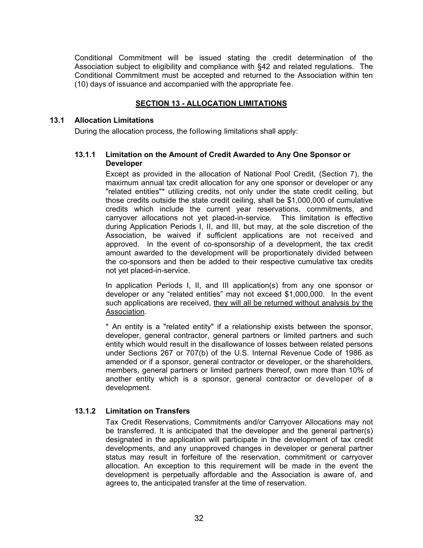<span id="page-36-0"></span>Conditional Commitment will be issued stating the credit determination of the Association subject to eligibility and compliance with §42 and related regulations. The Conditional Commitment must be accepted and returned to the Association within ten (10) days of issuance and accompanied with the appropriate fee.

# **SECTION 13 - ALLOCATION LIMITATIONS**

#### **13.1 Allocation Limitations**

During the allocation process, the following limitations shall apply:

### **13.1.1 Limitation on the Amount of Credit Awarded to Any One Sponsor or Developer**

Except as provided in the allocation of National Pool Credit, (Section 7), the maximum annual tax credit allocation for any one sponsor or developer or any "related entities"\* utilizing credits, not only under the state credit ceiling, but those credits outside the state credit ceiling, shall be \$1,000,000 of cumulative credits which include the current year reservations, commitments, and carryover allocations not yet placed-in-service. This limitation is effective during Application Periods I, II, and III, but may, at the sole discretion of the Association, be waived if sufficient applications are not received and approved. In the event of co-sponsorship of a development, the tax credit amount awarded to the development will be proportionately divided between the co-sponsors and then be added to their respective cumulative tax credits not yet placed-in-service.

In application Periods I, II, and III application(s) from any one sponsor or developer or any "related entities" may not exceed \$1,000,000. In the event such applications are received, they will all be returned without analysis by the Association.

\* An entity is a "related entity" if a relationship exists between the sponsor, developer, general contractor, general partners or limited partners and such entity which would result in the disallowance of losses between related persons under Sections 267 or 707(b) of the U.S. Internal Revenue Code of 1986 as amended or if a sponsor, general contractor or developer, or the shareholders, members, general partners or limited partners thereof, own more than 10% of another entity which is a sponsor, general contractor or developer of a development.

#### **13.1.2 Limitation on Transfers**

Tax Credit Reservations, Commitments and/or Carryover Allocations may not be transferred. It is anticipated that the developer and the general partner(s) designated in the application will participate in the development of tax credit developments, and any unapproved changes in developer or general partner status may result in forfeiture of the reservation, commitment or carryover allocation. An exception to this requirement will be made in the event the development is perpetually affordable and the Association is aware of, and agrees to, the anticipated transfer at the time of reservation.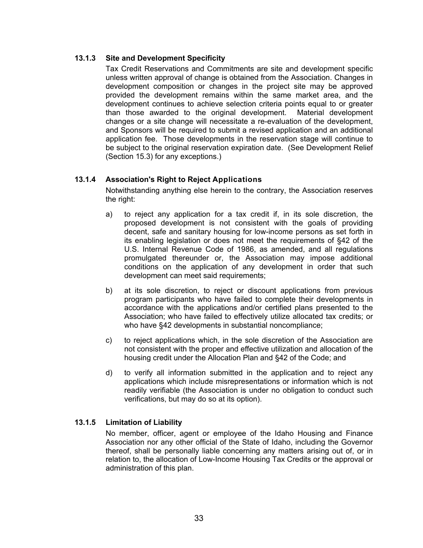# <span id="page-37-0"></span>**13.1.3 Site and Development Specificity**

Tax Credit Reservations and Commitments are site and development specific unless written approval of change is obtained from the Association. Changes in development composition or changes in the project site may be approved provided the development remains within the same market area, and the development continues to achieve selection criteria points equal to or greater than those awarded to the original development. Material development changes or a site change will necessitate a re-evaluation of the development, and Sponsors will be required to submit a revised application and an additional application fee. Those developments in the reservation stage will continue to be subject to the original reservation expiration date. (See Development Relief (Section 15.3) for any exceptions.)

# **13.1.4 Association's Right to Reject Applications**

Notwithstanding anything else herein to the contrary, the Association reserves the right:

- a) to reject any application for a tax credit if, in its sole discretion, the proposed development is not consistent with the goals of providing decent, safe and sanitary housing for low-income persons as set forth in its enabling legislation or does not meet the requirements of §42 of the U.S. Internal Revenue Code of 1986, as amended, and all regulations promulgated thereunder or, the Association may impose additional conditions on the application of any development in order that such development can meet said requirements;
- b) at its sole discretion, to reject or discount applications from previous program participants who have failed to complete their developments in accordance with the applications and/or certified plans presented to the Association; who have failed to effectively utilize allocated tax credits; or who have §42 developments in substantial noncompliance:
- c) to reject applications which, in the sole discretion of the Association are not consistent with the proper and effective utilization and allocation of the housing credit under the Allocation Plan and §42 of the Code; and
- d) to verify all information submitted in the application and to reject any applications which include misrepresentations or information which is not readily verifiable (the Association is under no obligation to conduct such verifications, but may do so at its option).

# **13.1.5 Limitation of Liability**

No member, officer, agent or employee of the Idaho Housing and Finance Association nor any other official of the State of Idaho, including the Governor thereof, shall be personally liable concerning any matters arising out of, or in relation to, the allocation of Low-Income Housing Tax Credits or the approval or administration of this plan.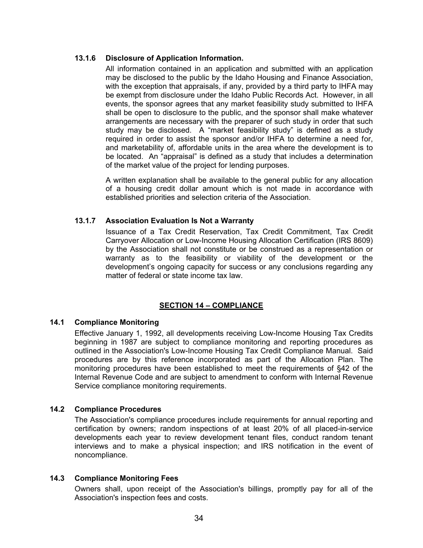# <span id="page-38-0"></span>**13.1.6 Disclosure of Application Information.**

All information contained in an application and submitted with an application may be disclosed to the public by the Idaho Housing and Finance Association, with the exception that appraisals, if any, provided by a third party to IHFA may be exempt from disclosure under the Idaho Public Records Act. However, in all events, the sponsor agrees that any market feasibility study submitted to IHFA shall be open to disclosure to the public, and the sponsor shall make whatever arrangements are necessary with the preparer of such study in order that such study may be disclosed. A "market feasibility study" is defined as a study required in order to assist the sponsor and/or IHFA to determine a need for, and marketability of, affordable units in the area where the development is to be located. An "appraisal" is defined as a study that includes a determination of the market value of the project for lending purposes.

A written explanation shall be available to the general public for any allocation of a housing credit dollar amount which is not made in accordance with established priorities and selection criteria of the Association.

# **13.1.7 Association Evaluation Is Not a Warranty**

Issuance of a Tax Credit Reservation, Tax Credit Commitment, Tax Credit Carryover Allocation or Low-Income Housing Allocation Certification (IRS 8609) by the Association shall not constitute or be construed as a representation or warranty as to the feasibility or viability of the development or the development's ongoing capacity for success or any conclusions regarding any matter of federal or state income tax law.

# **SECTION 14 – COMPLIANCE**

# **14.1 Compliance Monitoring**

Effective January 1, 1992, all developments receiving Low-Income Housing Tax Credits beginning in 1987 are subject to compliance monitoring and reporting procedures as outlined in the Association's Low-Income Housing Tax Credit Compliance Manual. Said procedures are by this reference incorporated as part of the Allocation Plan. The monitoring procedures have been established to meet the requirements of §42 of the Internal Revenue Code and are subject to amendment to conform with Internal Revenue Service compliance monitoring requirements.

#### **14.2 Compliance Procedures**

The Association's compliance procedures include requirements for annual reporting and certification by owners; random inspections of at least 20% of all placed-in-service developments each year to review development tenant files, conduct random tenant interviews and to make a physical inspection; and IRS notification in the event of noncompliance.

#### **14.3 Compliance Monitoring Fees**

Owners shall, upon receipt of the Association's billings, promptly pay for all of the Association's inspection fees and costs.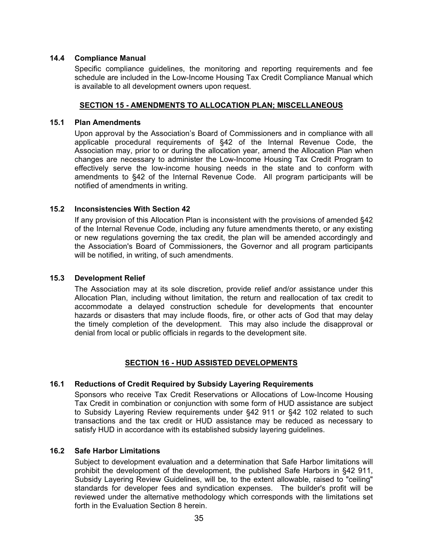## <span id="page-39-0"></span>**14.4 Compliance Manual**

Specific compliance guidelines, the monitoring and reporting requirements and fee schedule are included in the Low-Income Housing Tax Credit Compliance Manual which is available to all development owners upon request.

## **SECTION 15 - AMENDMENTS TO ALLOCATION PLAN; MISCELLANEOUS**

### **15.1 Plan Amendments**

Upon approval by the Association's Board of Commissioners and in compliance with all applicable procedural requirements of §42 of the Internal Revenue Code, the Association may, prior to or during the allocation year, amend the Allocation Plan when changes are necessary to administer the Low-Income Housing Tax Credit Program to effectively serve the low-income housing needs in the state and to conform with amendments to §42 of the Internal Revenue Code. All program participants will be notified of amendments in writing.

# **15.2 Inconsistencies With Section 42**

If any provision of this Allocation Plan is inconsistent with the provisions of amended §42 of the Internal Revenue Code, including any future amendments thereto, or any existing or new regulations governing the tax credit, the plan will be amended accordingly and the Association's Board of Commissioners, the Governor and all program participants will be notified, in writing, of such amendments.

# **15.3 Development Relief**

The Association may at its sole discretion, provide relief and/or assistance under this Allocation Plan, including without limitation, the return and reallocation of tax credit to accommodate a delayed construction schedule for developments that encounter hazards or disasters that may include floods, fire, or other acts of God that may delay the timely completion of the development. This may also include the disapproval or denial from local or public officials in regards to the development site.

# **SECTION 16 - HUD ASSISTED DEVELOPMENTS**

# **16.1 Reductions of Credit Required by Subsidy Layering Requirements**

Sponsors who receive Tax Credit Reservations or Allocations of Low-Income Housing Tax Credit in combination or conjunction with some form of HUD assistance are subject to Subsidy Layering Review requirements under §42 911 or §42 102 related to such transactions and the tax credit or HUD assistance may be reduced as necessary to satisfy HUD in accordance with its established subsidy layering guidelines.

## **16.2 Safe Harbor Limitations**

Subject to development evaluation and a determination that Safe Harbor limitations will prohibit the development of the development, the published Safe Harbors in §42 911, Subsidy Layering Review Guidelines, will be, to the extent allowable, raised to "ceiling" standards for developer fees and syndication expenses. The builder's profit will be reviewed under the alternative methodology which corresponds with the limitations set forth in the Evaluation Section 8 herein.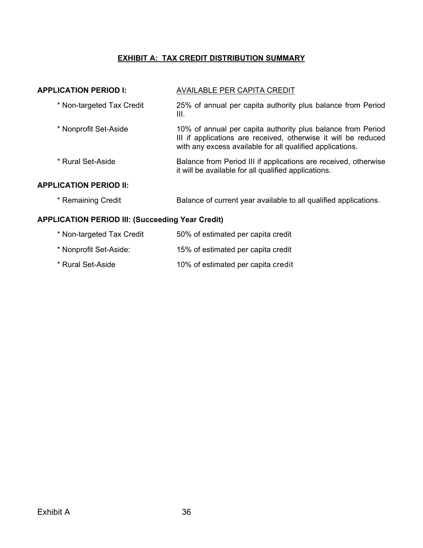# **EXHIBIT A: TAX CREDIT DISTRIBUTION SUMMARY**

<span id="page-40-0"></span>

| <b>APPLICATION PERIOD I:</b>                            | <b>AVAILABLE PER CAPITA CREDIT</b>                                                                                                                                                         |  |  |  |
|---------------------------------------------------------|--------------------------------------------------------------------------------------------------------------------------------------------------------------------------------------------|--|--|--|
| * Non-targeted Tax Credit                               | 25% of annual per capita authority plus balance from Period<br>III.                                                                                                                        |  |  |  |
| * Nonprofit Set-Aside                                   | 10% of annual per capita authority plus balance from Period<br>III if applications are received, otherwise it will be reduced<br>with any excess available for all qualified applications. |  |  |  |
| * Rural Set-Aside                                       | Balance from Period III if applications are received, otherwise<br>it will be available for all qualified applications.                                                                    |  |  |  |
| <b>APPLICATION PERIOD II:</b>                           |                                                                                                                                                                                            |  |  |  |
| * Remaining Credit                                      | Balance of current year available to all qualified applications.                                                                                                                           |  |  |  |
| <b>APPLICATION PERIOD III: (Succeeding Year Credit)</b> |                                                                                                                                                                                            |  |  |  |

| * Non-targeted Tax Credit | 50% of estimated per capita credit |
|---------------------------|------------------------------------|
| * Nonprofit Set-Aside:    | 15% of estimated per capita credit |
| * Rural Set-Aside         | 10% of estimated per capita credit |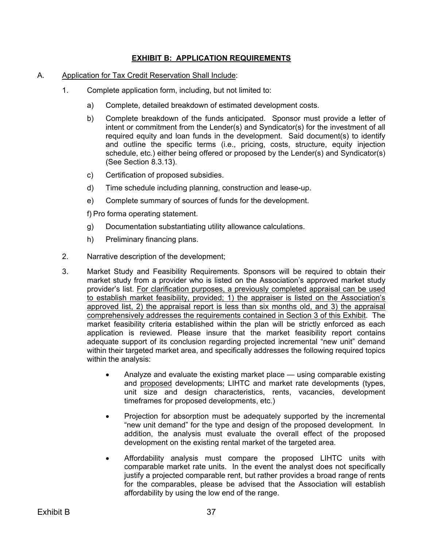# **EXHIBIT B: APPLICATION REQUIREMENTS**

# <span id="page-41-0"></span>A. Application for Tax Credit Reservation Shall Include:

- 1. Complete application form, including, but not limited to:
	- a) Complete, detailed breakdown of estimated development costs.
	- b) Complete breakdown of the funds anticipated. Sponsor must provide a letter of intent or commitment from the Lender(s) and Syndicator(s) for the investment of all required equity and loan funds in the development. Said document(s) to identify and outline the specific terms (i.e., pricing, costs, structure, equity injection schedule, etc.) either being offered or proposed by the Lender(s) and Syndicator(s) (See Section 8.3.13).
	- c) Certification of proposed subsidies.
	- d) Time schedule including planning, construction and lease-up.
	- e) Complete summary of sources of funds for the development.

f) Pro forma operating statement.

- g) Documentation substantiating utility allowance calculations.
- h) Preliminary financing plans.
- 2. Narrative description of the development;
- 3. Market Study and Feasibility Requirements. Sponsors will be required to obtain their market study from a provider who is listed on the Association's approved market study provider's list. For clarification purposes, a previously completed appraisal can be used to establish market feasibility, provided; 1) the appraiser is listed on the Association's approved list, 2) the appraisal report is less than six months old, and 3) the appraisal comprehensively addresses the requirements contained in Section 3 of this Exhibit. The market feasibility criteria established within the plan will be strictly enforced as each application is reviewed. Please insure that the market feasibility report contains adequate support of its conclusion regarding projected incremental "new unit" demand within their targeted market area, and specifically addresses the following required topics within the analysis:
	- Analyze and evaluate the existing market place using comparable existing and proposed developments; LIHTC and market rate developments (types, unit size and design characteristics, rents, vacancies, development timeframes for proposed developments, etc.)
	- Projection for absorption must be adequately supported by the incremental "new unit demand" for the type and design of the proposed development. In addition, the analysis must evaluate the overall effect of the proposed development on the existing rental market of the targeted area.
	- Affordability analysis must compare the proposed LIHTC units with comparable market rate units. In the event the analyst does not specifically justify a projected comparable rent, but rather provides a broad range of rents for the comparables, please be advised that the Association will establish affordability by using the low end of the range.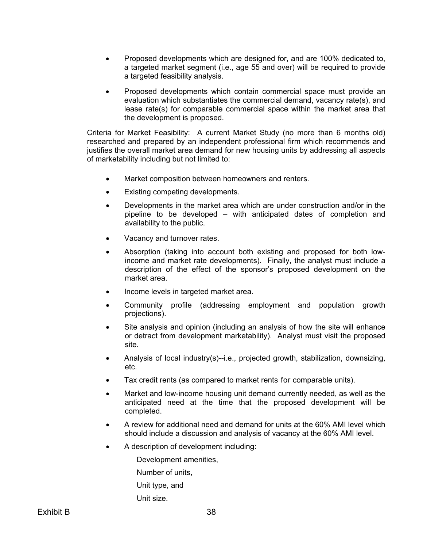- Proposed developments which are designed for, and are 100% dedicated to, a targeted market segment (i.e., age 55 and over) will be required to provide a targeted feasibility analysis.
- Proposed developments which contain commercial space must provide an evaluation which substantiates the commercial demand, vacancy rate(s), and lease rate(s) for comparable commercial space within the market area that the development is proposed.

Criteria for Market Feasibility: A current Market Study (no more than 6 months old) researched and prepared by an independent professional firm which recommends and justifies the overall market area demand for new housing units by addressing all aspects of marketability including but not limited to:

- Market composition between homeowners and renters.
- Existing competing developments.
- Developments in the market area which are under construction and/or in the pipeline to be developed – with anticipated dates of completion and availability to the public.
- Vacancy and turnover rates.
- Absorption (taking into account both existing and proposed for both lowincome and market rate developments). Finally, the analyst must include a description of the effect of the sponsor's proposed development on the market area.
- Income levels in targeted market area.
- Community profile (addressing employment and population growth projections).
- Site analysis and opinion (including an analysis of how the site will enhance or detract from development marketability). Analyst must visit the proposed site.
- Analysis of local industry(s)--i.e., projected growth, stabilization, downsizing, etc.
- Tax credit rents (as compared to market rents for comparable units).
- Market and low-income housing unit demand currently needed, as well as the anticipated need at the time that the proposed development will be completed.
- A review for additional need and demand for units at the 60% AMI level which should include a discussion and analysis of vacancy at the 60% AMI level.
- A description of development including:

Development amenities,

Number of units,

Unit type, and

Unit size.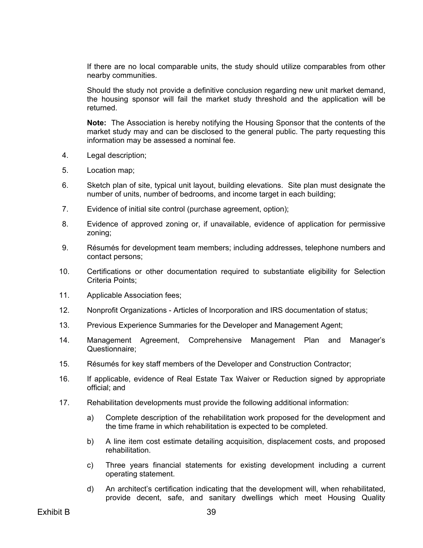If there are no local comparable units, the study should utilize comparables from other nearby communities.

Should the study not provide a definitive conclusion regarding new unit market demand, the housing sponsor will fail the market study threshold and the application will be returned.

**Note:** The Association is hereby notifying the Housing Sponsor that the contents of the market study may and can be disclosed to the general public. The party requesting this information may be assessed a nominal fee.

- 4. Legal description;
- 5. Location map;
- 6. Sketch plan of site, typical unit layout, building elevations. Site plan must designate the number of units, number of bedrooms, and income target in each building;
- 7. Evidence of initial site control (purchase agreement, option);
- 8. Evidence of approved zoning or, if unavailable, evidence of application for permissive zoning;
- 9. Résumés for development team members; including addresses, telephone numbers and contact persons;
- 10. Certifications or other documentation required to substantiate eligibility for Selection Criteria Points;
- 11. Applicable Association fees;
- 12. Nonprofit Organizations Articles of Incorporation and IRS documentation of status;
- 13. Previous Experience Summaries for the Developer and Management Agent;
- 14. Management Agreement, Comprehensive Management Plan and Manager's Questionnaire;
- 15. Résumés for key staff members of the Developer and Construction Contractor;
- 16. If applicable, evidence of Real Estate Tax Waiver or Reduction signed by appropriate official; and
- 17. Rehabilitation developments must provide the following additional information:
	- a) Complete description of the rehabilitation work proposed for the development and the time frame in which rehabilitation is expected to be completed.
	- b) A line item cost estimate detailing acquisition, displacement costs, and proposed rehabilitation.
	- c) Three years financial statements for existing development including a current operating statement.
	- d) An architect's certification indicating that the development will, when rehabilitated, provide decent, safe, and sanitary dwellings which meet Housing Quality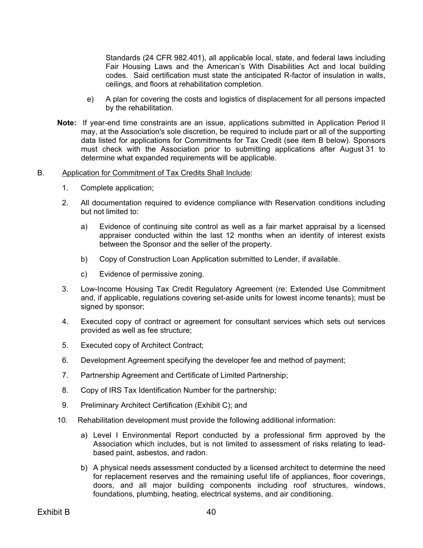Standards (24 CFR 982.401), all applicable local, state, and federal laws including Fair Housing Laws and the American's With Disabilities Act and local building codes. Said certification must state the anticipated R-factor of insulation in walls, ceilings, and floors at rehabilitation completion.

- e) A plan for covering the costs and logistics of displacement for all persons impacted by the rehabilitation.
- **Note:** If year-end time constraints are an issue, applications submitted in Application Period II may, at the Association's sole discretion, be required to include part or all of the supporting data listed for applications for Commitments for Tax Credit (see item B below). Sponsors must check with the Association prior to submitting applications after August 31 to determine what expanded requirements will be applicable.

#### B. Application for Commitment of Tax Credits Shall Include:

- 1. Complete application;
- 2. All documentation required to evidence compliance with Reservation conditions including but not limited to:
	- a) Evidence of continuing site control as well as a fair market appraisal by a licensed appraiser conducted within the last 12 months when an identity of interest exists between the Sponsor and the seller of the property.
	- b) Copy of Construction Loan Application submitted to Lender, if available.
	- c) Evidence of permissive zoning.
- 3. Low-Income Housing Tax Credit Regulatory Agreement (re: Extended Use Commitment and, if applicable, regulations covering set-aside units for lowest income tenants); must be signed by sponsor;
- 4. Executed copy of contract or agreement for consultant services which sets out services provided as well as fee structure;
- 5. Executed copy of Architect Contract;
- 6. Development Agreement specifying the developer fee and method of payment;
- 7. Partnership Agreement and Certificate of Limited Partnership;
- 8. Copy of IRS Tax Identification Number for the partnership;
- 9. Preliminary Architect Certification (Exhibit C); and
- 10. Rehabilitation development must provide the following additional information:
	- a) Level I Environmental Report conducted by a professional firm approved by the Association which includes, but is not limited to assessment of risks relating to leadbased paint, asbestos, and radon.
	- b) A physical needs assessment conducted by a licensed architect to determine the need for replacement reserves and the remaining useful life of appliances, floor coverings, doors, and all major building components including roof structures, windows, foundations, plumbing, heating, electrical systems, and air conditioning.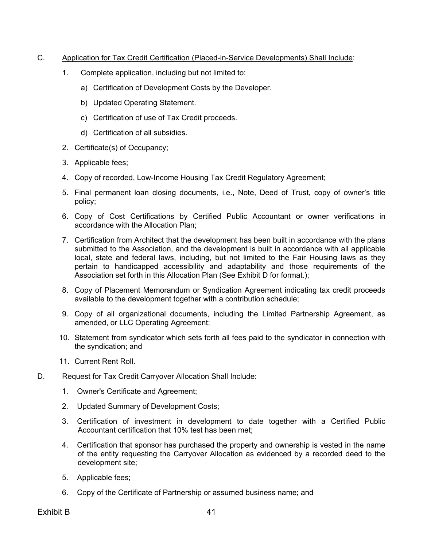# C. Application for Tax Credit Certification (Placed-in-Service Developments) Shall Include:

- 1. Complete application, including but not limited to:
	- a) Certification of Development Costs by the Developer.
	- b) Updated Operating Statement.
	- c) Certification of use of Tax Credit proceeds.
	- d) Certification of all subsidies.
- 2. Certificate(s) of Occupancy;
- 3. Applicable fees;
- 4. Copy of recorded, Low-Income Housing Tax Credit Regulatory Agreement;
- 5. Final permanent loan closing documents, i.e., Note, Deed of Trust, copy of owner's title policy;
- 6. Copy of Cost Certifications by Certified Public Accountant or owner verifications in accordance with the Allocation Plan;
- 7. Certification from Architect that the development has been built in accordance with the plans submitted to the Association, and the development is built in accordance with all applicable local, state and federal laws, including, but not limited to the Fair Housing laws as they pertain to handicapped accessibility and adaptability and those requirements of the Association set forth in this Allocation Plan (See Exhibit D for format.);
- 8. Copy of Placement Memorandum or Syndication Agreement indicating tax credit proceeds available to the development together with a contribution schedule;
- 9. Copy of all organizational documents, including the Limited Partnership Agreement, as amended, or LLC Operating Agreement;
- 10. Statement from syndicator which sets forth all fees paid to the syndicator in connection with the syndication; and
- 11. Current Rent Roll.
- D. Request for Tax Credit Carryover Allocation Shall Include:
	- 1. Owner's Certificate and Agreement;
	- 2. Updated Summary of Development Costs;
	- 3. Certification of investment in development to date together with a Certified Public Accountant certification that 10% test has been met;
	- 4. Certification that sponsor has purchased the property and ownership is vested in the name of the entity requesting the Carryover Allocation as evidenced by a recorded deed to the development site;
	- 5. Applicable fees;
	- 6. Copy of the Certificate of Partnership or assumed business name; and

Exhibit B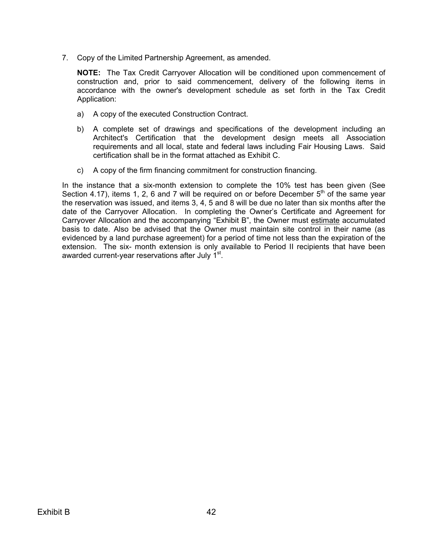7. Copy of the Limited Partnership Agreement, as amended.

**NOTE:** The Tax Credit Carryover Allocation will be conditioned upon commencement of construction and, prior to said commencement, delivery of the following items in accordance with the owner's development schedule as set forth in the Tax Credit Application:

- a) A copy of the executed Construction Contract.
- b) A complete set of drawings and specifications of the development including an Architect's Certification that the development design meets all Association requirements and all local, state and federal laws including Fair Housing Laws. Said certification shall be in the format attached as Exhibit C.
- c) A copy of the firm financing commitment for construction financing.

In the instance that a six-month extension to complete the 10% test has been given (See Section 4.17), items 1, 2, 6 and 7 will be required on or before December  $5<sup>th</sup>$  of the same vear the reservation was issued, and items 3, 4, 5 and 8 will be due no later than six months after the date of the Carryover Allocation. In completing the Owner's Certificate and Agreement for Carryover Allocation and the accompanying "Exhibit B", the Owner must estimate accumulated basis to date. Also be advised that the Owner must maintain site control in their name (as evidenced by a land purchase agreement) for a period of time not less than the expiration of the extension. The six- month extension is only available to Period II recipients that have been awarded current-year reservations after July 1<sup>st</sup>.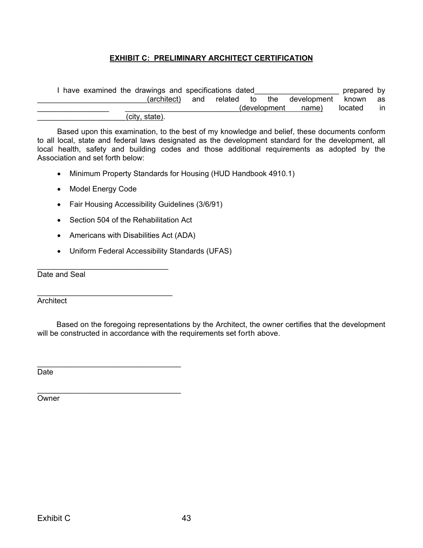# **EXHIBIT C: PRELIMINARY ARCHITECT CERTIFICATION**

<span id="page-47-0"></span>

| have examined the drawings and specifications dated |                |     |  |  | prepared by   |                            |         |    |
|-----------------------------------------------------|----------------|-----|--|--|---------------|----------------------------|---------|----|
|                                                     | (architect)    | and |  |  |               | related to the development | known   | as |
|                                                     |                |     |  |  | (development) | name)                      | located | in |
|                                                     | (city, state). |     |  |  |               |                            |         |    |

Based upon this examination, to the best of my knowledge and belief, these documents conform to all local, state and federal laws designated as the development standard for the development, all local health, safety and building codes and those additional requirements as adopted by the Association and set forth below:

- Minimum Property Standards for Housing (HUD Handbook 4910.1)
- Model Energy Code

\_\_\_\_\_\_\_\_\_\_\_\_\_\_\_\_\_\_\_\_\_\_\_\_\_\_\_\_\_\_\_\_

\_\_\_\_\_\_\_\_\_\_\_\_\_\_\_\_\_\_\_\_\_\_\_\_\_\_\_\_\_\_\_\_\_\_

- Fair Housing Accessibility Guidelines (3/6/91)
- Section 504 of the Rehabilitation Act
- Americans with Disabilities Act (ADA)
- Uniform Federal Accessibility Standards (UFAS)

\_\_\_\_\_\_\_\_\_\_\_\_\_\_\_\_\_\_\_\_\_\_\_\_\_\_\_\_\_\_\_ Date and Seal

**Architect** 

Based on the foregoing representations by the Architect, the owner certifies that the development will be constructed in accordance with the requirements set forth above.

\_\_\_\_\_\_\_\_\_\_\_\_\_\_\_\_\_\_\_\_\_\_\_\_\_\_\_\_\_\_\_\_\_\_ Date

**Owner**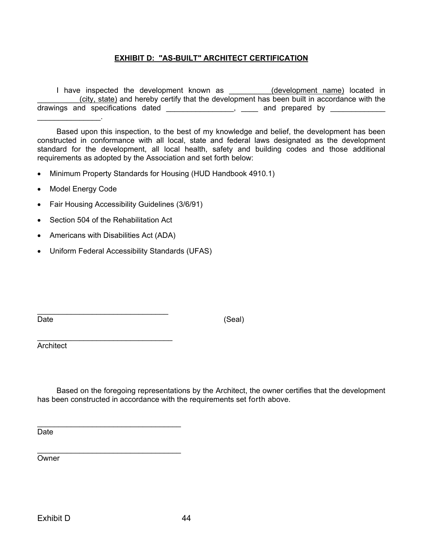# **EXHIBIT D: "AS-BUILT" ARCHITECT CERTIFICATION**

<span id="page-48-0"></span>I have inspected the development known as \_\_\_\_\_\_\_\_\_\_(development name) located in (city, state) and hereby certify that the development has been built in accordance with the drawings and specifications dated \_\_\_\_\_\_\_\_\_\_\_\_\_\_\_, \_\_\_\_ and prepared by \_\_\_\_\_\_\_\_\_  $\overline{\phantom{a}}$  . The set of the set of the set of the set of the set of the set of the set of the set of the set of the set of the set of the set of the set of the set of the set of the set of the set of the set of the set o

Based upon this inspection, to the best of my knowledge and belief, the development has been constructed in conformance with all local, state and federal laws designated as the development standard for the development, all local health, safety and building codes and those additional requirements as adopted by the Association and set forth below:

- Minimum Property Standards for Housing (HUD Handbook 4910.1)
- Model Energy Code
- Fair Housing Accessibility Guidelines (3/6/91)
- Section 504 of the Rehabilitation Act
- Americans with Disabilities Act (ADA)

\_\_\_\_\_\_\_\_\_\_\_\_\_\_\_\_\_\_\_\_\_\_\_\_\_\_\_\_\_\_\_\_

\_\_\_\_\_\_\_\_\_\_\_\_\_\_\_\_\_\_\_\_\_\_\_\_\_\_\_\_\_\_\_\_\_\_

• Uniform Federal Accessibility Standards (UFAS)

\_\_\_\_\_\_\_\_\_\_\_\_\_\_\_\_\_\_\_\_\_\_\_\_\_\_\_\_\_\_\_

Date (Seal)

Architect

Based on the foregoing representations by the Architect, the owner certifies that the development has been constructed in accordance with the requirements set forth above.

Date

\_\_\_\_\_\_\_\_\_\_\_\_\_\_\_\_\_\_\_\_\_\_\_\_\_\_\_\_\_\_\_\_\_\_ **Owner**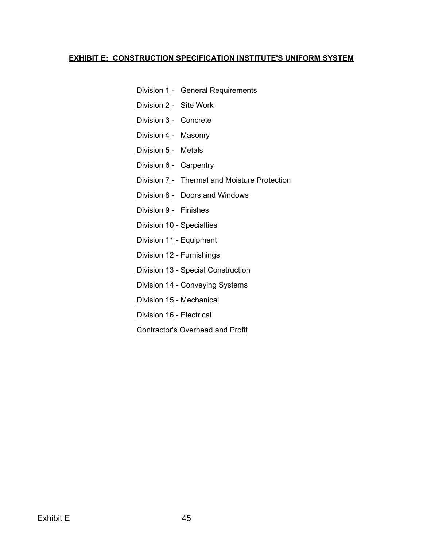# <span id="page-49-0"></span>**EXHIBIT E: CONSTRUCTION SPECIFICATION INSTITUTE'S UNIFORM SYSTEM**

- **Division 1 General Requirements**
- Division 2 Site Work
- Division 3 Concrete
- Division 4 Masonry
- Division 5 Metals
- Division 6 Carpentry
- Division 7 Thermal and Moisture Protection
- Division 8 Doors and Windows
- Division 9 Finishes
- Division 10 Specialties
- Division 11 Equipment
- Division 12 Furnishings
- Division 13 Special Construction
- Division 14 Conveying Systems
- Division 15 Mechanical
- Division 16 Electrical
- Contractor's Overhead and Profit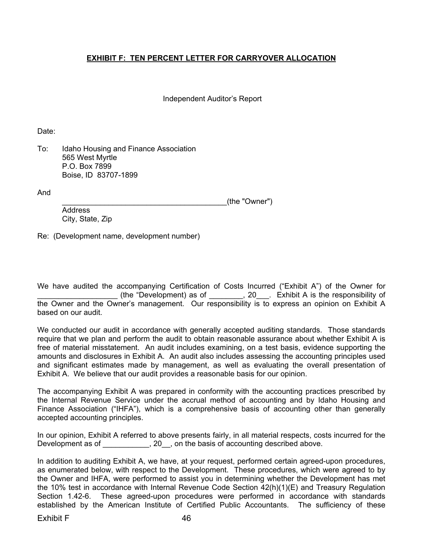# <span id="page-50-0"></span>**EXHIBIT F: TEN PERCENT LETTER FOR CARRYOVER ALLOCATION**

Independent Auditor's Report

Date:

To: Idaho Housing and Finance Association 565 West Myrtle P.O. Box 7899 Boise, ID 83707-1899

And

\_\_\_\_\_\_\_\_\_\_\_\_\_\_\_\_\_\_\_\_\_\_\_\_\_\_\_\_\_\_\_\_\_\_\_\_\_\_\_(the "Owner")

 Address City, State, Zip

Re: (Development name, development number)

We have audited the accompanying Certification of Costs Incurred ("Exhibit A") of the Owner for \_\_\_\_\_\_\_\_\_\_\_\_\_\_\_\_\_\_\_ (the "Development) as of \_\_\_\_\_\_\_\_, 20\_\_\_. Exhibit A is the responsibility of the Owner and the Owner's management. Our responsibility is to express an opinion on Exhibit A based on our audit.

We conducted our audit in accordance with generally accepted auditing standards. Those standards require that we plan and perform the audit to obtain reasonable assurance about whether Exhibit A is free of material misstatement. An audit includes examining, on a test basis, evidence supporting the amounts and disclosures in Exhibit A. An audit also includes assessing the accounting principles used and significant estimates made by management, as well as evaluating the overall presentation of Exhibit A. We believe that our audit provides a reasonable basis for our opinion.

The accompanying Exhibit A was prepared in conformity with the accounting practices prescribed by the Internal Revenue Service under the accrual method of accounting and by Idaho Housing and Finance Association ("IHFA"), which is a comprehensive basis of accounting other than generally accepted accounting principles.

In our opinion, Exhibit A referred to above presents fairly, in all material respects, costs incurred for the Development as of \_\_\_\_\_\_\_\_\_\_, 20\_, on the basis of accounting described above.

In addition to auditing Exhibit A, we have, at your request, performed certain agreed-upon procedures, as enumerated below, with respect to the Development. These procedures, which were agreed to by the Owner and IHFA, were performed to assist you in determining whether the Development has met the 10% test in accordance with Internal Revenue Code Section 42(h)(1)(E) and Treasury Regulation Section 1.42-6. These agreed-upon procedures were performed in accordance with standards established by the American Institute of Certified Public Accountants. The sufficiency of these

Exhibit F 46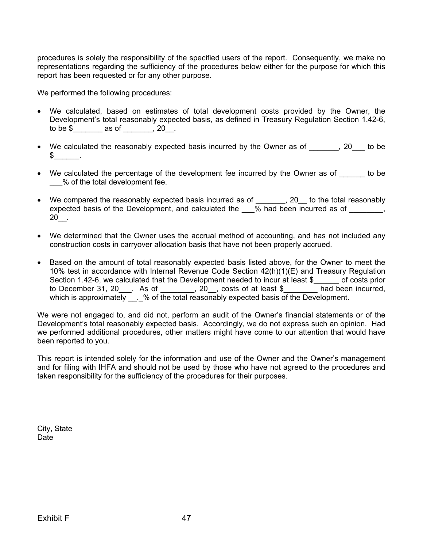procedures is solely the responsibility of the specified users of the report. Consequently, we make no representations regarding the sufficiency of the procedures below either for the purpose for which this report has been requested or for any other purpose.

We performed the following procedures:

- We calculated, based on estimates of total development costs provided by the Owner, the Development's total reasonably expected basis, as defined in Treasury Regulation Section 1.42-6, to be  $\frac{1}{2}$  as of \_\_\_\_\_, 20\_.
- We calculated the reasonably expected basis incurred by the Owner as of  $\qquad \qquad , 20$  to be  $\mathbb S$  .
- We calculated the percentage of the development fee incurred by the Owner as of the be \_\_\_% of the total development fee.
- We compared the reasonably expected basis incurred as of \_\_\_\_\_\_, 20 to the total reasonably expected basis of the Development, and calculated the \_\_\_% had been incurred as of \_\_\_\_\_\_\_, 20\_\_.
- We determined that the Owner uses the accrual method of accounting, and has not included any construction costs in carryover allocation basis that have not been properly accrued.
- Based on the amount of total reasonably expected basis listed above, for the Owner to meet the 10% test in accordance with Internal Revenue Code Section 42(h)(1)(E) and Treasury Regulation Section 1.42-6, we calculated that the Development needed to incur at least \$ of costs prior to December 31, 20\_\_\_. As of \_\_\_\_\_\_\_\_, 20\_\_, costs of at least \$\_\_\_\_\_\_\_\_ had been incurred, which is approximately \_\_\_% of the total reasonably expected basis of the Development.

We were not engaged to, and did not, perform an audit of the Owner's financial statements or of the Development's total reasonably expected basis. Accordingly, we do not express such an opinion. Had we performed additional procedures, other matters might have come to our attention that would have been reported to you.

This report is intended solely for the information and use of the Owner and the Owner's management and for filing with IHFA and should not be used by those who have not agreed to the procedures and taken responsibility for the sufficiency of the procedures for their purposes.

City, State Date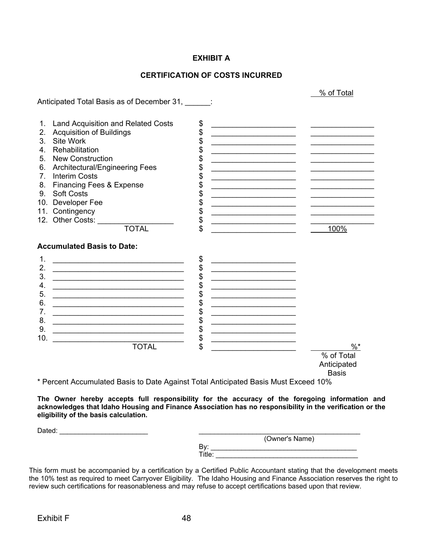# **EXHIBIT A**

# **CERTIFICATION OF COSTS INCURRED**

|                |                                                                                                                        |                                                                                                                                                                                                                                                                                                           | % of Total   |
|----------------|------------------------------------------------------------------------------------------------------------------------|-----------------------------------------------------------------------------------------------------------------------------------------------------------------------------------------------------------------------------------------------------------------------------------------------------------|--------------|
|                | Anticipated Total Basis as of December 31,                                                                             |                                                                                                                                                                                                                                                                                                           |              |
| 1.             | <b>Land Acquisition and Related Costs</b>                                                                              | \$                                                                                                                                                                                                                                                                                                        |              |
| 2.             | <b>Acquisition of Buildings</b>                                                                                        | \$<br><u> 1989 - Johann John Harry Harry Harry Harry Harry Harry Harry Harry Harry Harry Harry Harry Harry Harry Harry Harry Harry Harry Harry Harry Harry Harry Harry Harry Harry Harry Harry Harry Harry Harry Harry Harry Harry Har</u><br>the control of the control of the control of the control of |              |
| 3.             | Site Work                                                                                                              | \$<br><u> 1990 - Johann John Stone, mars et al. (</u>                                                                                                                                                                                                                                                     |              |
| 4.             | Rehabilitation                                                                                                         | <u> 1990 - Johann John Stone, mars et al. (</u>                                                                                                                                                                                                                                                           |              |
| 5.             | New Construction                                                                                                       | <u> 1950 - Johann John Stoff, fransk politik (d. 1950)</u>                                                                                                                                                                                                                                                |              |
| 6.             | Architectural/Engineering Fees                                                                                         | <u> 1989 - Johann John Stoff, deutscher Stoffen und der Stoffen und der Stoffen und der Stoffen und der Stoffen und der Stoffen und der Stoffen und der Stoffen und der Stoffen und der Stoffen und der Stoffen und der Stoffen </u>                                                                      |              |
| 7 <sub>1</sub> | <b>Interim Costs</b>                                                                                                   | <u> 1950 - Johann John Stone, market eta industrial eta industrial eta industrial eta industrial eta industrial e</u>                                                                                                                                                                                     |              |
| 8.             | <b>Financing Fees &amp; Expense</b>                                                                                    | <u> 1990 - Johann Barbara, martxa alemani</u> ar a                                                                                                                                                                                                                                                        |              |
| 9.             | <b>Soft Costs</b>                                                                                                      | \$<br>the control of the control of the control of the control of                                                                                                                                                                                                                                         |              |
| 10.            | Developer Fee                                                                                                          |                                                                                                                                                                                                                                                                                                           |              |
|                | 11. Contingency                                                                                                        | <u> 1989 - Johann John Stone, market fransk politiker (</u>                                                                                                                                                                                                                                               |              |
|                | 12. Other Costs:                                                                                                       | \$<br><u> 1980 - Johann John Stein, mars an deus Frankrik (d. 1980)</u>                                                                                                                                                                                                                                   |              |
|                | <b>TOTAL</b>                                                                                                           |                                                                                                                                                                                                                                                                                                           | 100%         |
|                | <b>Accumulated Basis to Date:</b>                                                                                      |                                                                                                                                                                                                                                                                                                           |              |
| 1.             |                                                                                                                        | \$<br><u> 1989 - Johann John Stone, mars eta bainar eta erroma eta erroma eta erroma eta erroma eta erroma eta erroma</u>                                                                                                                                                                                 |              |
| 2.             |                                                                                                                        | \$<br><u> 1989 - Johann John Stone, mars eta bainar eta baina eta baina eta baina eta baina eta baina eta baina eta ba</u>                                                                                                                                                                                |              |
| 3.             |                                                                                                                        | \$<br><u> 1964 - Johann John Harry Harry Harry Harry Harry Harry Harry Harry Harry Harry Harry Harry Harry Harry Harry Harry Harry Harry Harry Harry Harry Harry Harry Harry Harry Harry Harry Harry Harry Harry Harry Harry Harry Har</u>                                                                |              |
| 4.             |                                                                                                                        | \$<br><u> 1989 - Johann John Stone, mars et al. (</u>                                                                                                                                                                                                                                                     |              |
| 5.             | <u> 1989 - Paris Amerikaanse kommunister († 1905)</u>                                                                  | \$<br><u> 1989 - Johann John Stone, mars eta biztanleria (h. 1989).</u>                                                                                                                                                                                                                                   |              |
| 6.             | <u> 1989 - Johann John Stein, marwolaethau (b. 1989)</u>                                                               |                                                                                                                                                                                                                                                                                                           |              |
| 7.             | <u> 1989 - Johann Stoff, deutscher Stoffen und der Stoffen und der Stoffen und der Stoffen und der Stoffen und der</u> | \$<br><u>The contract of the contract of the contract of the contract of the contract of the contract of the contract of the contract of the contract of the contract of the contract of the contract of the contract of the contract </u>                                                                |              |
| 8.             | <u> 1989 - Johann Stoff, deutscher Stoffen und der Stoffen und der Stoffen und der Stoffen und der Stoffen und der</u> | \$<br><u> 1989 - Johann John Stoff, deutscher Stoffen und der Stoffen und der Stoffen und der Stoffen und der Stoffen un</u>                                                                                                                                                                              |              |
| 9.             | <u> 1989 - Johann John Stein, mars an deus Frankrik (b. 1989)</u>                                                      | \$                                                                                                                                                                                                                                                                                                        |              |
| 10.            | <u> 1989 - Johann John Stone, mars andrew Maria (b. 1982)</u>                                                          | \$                                                                                                                                                                                                                                                                                                        |              |
|                | <b>TOTAL</b>                                                                                                           | \$<br>the control of the control of the control of the control of the control of the control of                                                                                                                                                                                                           | $\%$ *       |
|                |                                                                                                                        |                                                                                                                                                                                                                                                                                                           | % of Total   |
|                |                                                                                                                        |                                                                                                                                                                                                                                                                                                           | Anticipated  |
|                |                                                                                                                        |                                                                                                                                                                                                                                                                                                           | <b>Basis</b> |
|                | * Percent Accumulated Basis to Date Against Total Anticipated Basis Must Exceed 10%                                    |                                                                                                                                                                                                                                                                                                           |              |

**The Owner hereby accepts full responsibility for the accuracy of the foregoing information and acknowledges that Idaho Housing and Finance Association has no responsibility in the verification or the eligibility of the basis calculation.**

| (Owner's Name) |
|----------------|
| Bv:            |
| Title:         |
|                |

This form must be accompanied by a certification by a Certified Public Accountant stating that the development meets the 10% test as required to meet Carryover Eligibility. The Idaho Housing and Finance Association reserves the right to review such certifications for reasonableness and may refuse to accept certifications based upon that review.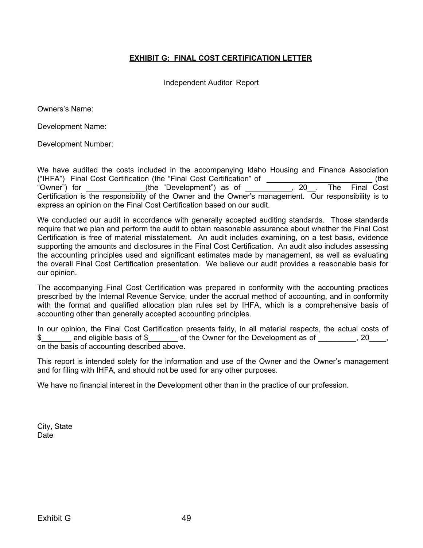# **EXHIBIT G: FINAL COST CERTIFICATION LETTER**

Independent Auditor' Report

<span id="page-53-0"></span>Owners's Name:

Development Name:

Development Number:

We have audited the costs included in the accompanying Idaho Housing and Finance Association ("IHFA") Final Cost Certification (the "Final Cost Certification" of \_\_\_\_\_\_\_\_\_\_\_\_\_\_\_\_\_\_\_\_\_\_\_\_\_ (the "Owner") for \_\_\_\_\_\_\_\_\_\_\_\_\_\_(the "Development") as of \_\_\_\_\_\_\_\_\_\_\_, 20\_\_. The Final Cost Certification is the responsibility of the Owner and the Owner's management. Our responsibility is to express an opinion on the Final Cost Certification based on our audit.

We conducted our audit in accordance with generally accepted auditing standards. Those standards require that we plan and perform the audit to obtain reasonable assurance about whether the Final Cost Certification is free of material misstatement. An audit includes examining, on a test basis, evidence supporting the amounts and disclosures in the Final Cost Certification. An audit also includes assessing the accounting principles used and significant estimates made by management, as well as evaluating the overall Final Cost Certification presentation. We believe our audit provides a reasonable basis for our opinion.

The accompanying Final Cost Certification was prepared in conformity with the accounting practices prescribed by the Internal Revenue Service, under the accrual method of accounting, and in conformity with the format and qualified allocation plan rules set by IHFA, which is a comprehensive basis of accounting other than generally accepted accounting principles.

In our opinion, the Final Cost Certification presents fairly, in all material respects, the actual costs of \$\_\_\_\_\_\_\_\_ and eligible basis of \$\_\_\_\_\_\_\_\_ of the Owner for the Development as of \_\_\_\_\_\_\_\_, 20\_\_\_\_, on the basis of accounting described above.

This report is intended solely for the information and use of the Owner and the Owner's management and for filing with IHFA, and should not be used for any other purposes.

We have no financial interest in the Development other than in the practice of our profession.

City, State Date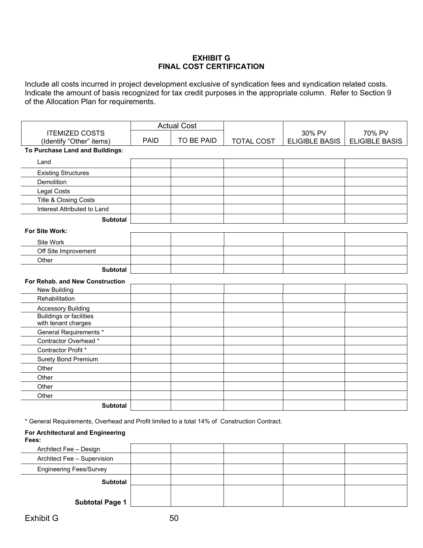# **EXHIBIT G FINAL COST CERTIFICATION**

Include all costs incurred in project development exclusive of syndication fees and syndication related costs. Indicate the amount of basis recognized for tax credit purposes in the appropriate column. Refer to Section 9 of the Allocation Plan for requirements.

|                                                       |             | <b>Actual Cost</b> |                   |                                 |                                 |
|-------------------------------------------------------|-------------|--------------------|-------------------|---------------------------------|---------------------------------|
| <b>ITEMIZED COSTS</b><br>(Identify "Other" items)     | <b>PAID</b> | TO BE PAID         | <b>TOTAL COST</b> | 30% PV<br><b>ELIGIBLE BASIS</b> | 70% PV<br><b>ELIGIBLE BASIS</b> |
| To Purchase Land and Buildings:                       |             |                    |                   |                                 |                                 |
| Land                                                  |             |                    |                   |                                 |                                 |
|                                                       |             |                    |                   |                                 |                                 |
| <b>Existing Structures</b>                            |             |                    |                   |                                 |                                 |
| Demolition                                            |             |                    |                   |                                 |                                 |
| Legal Costs                                           |             |                    |                   |                                 |                                 |
| Title & Closing Costs                                 |             |                    |                   |                                 |                                 |
| Interest Attributed to Land                           |             |                    |                   |                                 |                                 |
| <b>Subtotal</b>                                       |             |                    |                   |                                 |                                 |
| For Site Work:                                        |             |                    |                   |                                 |                                 |
| Site Work                                             |             |                    |                   |                                 |                                 |
| Off Site Improvement                                  |             |                    |                   |                                 |                                 |
| Other                                                 |             |                    |                   |                                 |                                 |
| <b>Subtotal</b>                                       |             |                    |                   |                                 |                                 |
| For Rehab. and New Construction                       |             |                    |                   |                                 |                                 |
| New Building                                          |             |                    |                   |                                 |                                 |
| Rehabilitation                                        |             |                    |                   |                                 |                                 |
| <b>Accessory Building</b>                             |             |                    |                   |                                 |                                 |
| <b>Buildings or facilities</b><br>with tenant charges |             |                    |                   |                                 |                                 |
| <b>General Requirements *</b>                         |             |                    |                   |                                 |                                 |
| Contractor Overhead *                                 |             |                    |                   |                                 |                                 |
| Contractor Profit *                                   |             |                    |                   |                                 |                                 |
| <b>Surety Bond Premium</b>                            |             |                    |                   |                                 |                                 |
| Other                                                 |             |                    |                   |                                 |                                 |
| Other                                                 |             |                    |                   |                                 |                                 |
| Other                                                 |             |                    |                   |                                 |                                 |
| Other                                                 |             |                    |                   |                                 |                                 |
| <b>Subtotal</b>                                       |             |                    |                   |                                 |                                 |

\* General Requirements, Overhead and Profit limited to a total 14% of Construction Contract.

#### **For Architectural and Engineering Fees:**

| Architect Fee - Design         |  |  |  |
|--------------------------------|--|--|--|
| Architect Fee - Supervision    |  |  |  |
| <b>Engineering Fees/Survey</b> |  |  |  |
| Subtotal                       |  |  |  |
|                                |  |  |  |
| <b>Subtotal Page 1</b>         |  |  |  |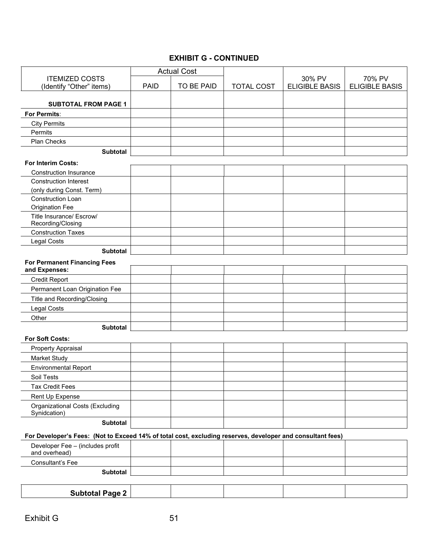# **EXHIBIT G - CONTINUED**

|                                                                                                            |             | <b>Actual Cost</b> |                   |                                 |                                 |
|------------------------------------------------------------------------------------------------------------|-------------|--------------------|-------------------|---------------------------------|---------------------------------|
| <b>ITEMIZED COSTS</b><br>(Identify "Other" items)                                                          | <b>PAID</b> | TO BE PAID         | <b>TOTAL COST</b> | 30% PV<br><b>ELIGIBLE BASIS</b> | 70% PV<br><b>ELIGIBLE BASIS</b> |
| <b>SUBTOTAL FROM PAGE 1</b>                                                                                |             |                    |                   |                                 |                                 |
| For Permits:                                                                                               |             |                    |                   |                                 |                                 |
| <b>City Permits</b>                                                                                        |             |                    |                   |                                 |                                 |
| Permits                                                                                                    |             |                    |                   |                                 |                                 |
| Plan Checks                                                                                                |             |                    |                   |                                 |                                 |
| <b>Subtotal</b>                                                                                            |             |                    |                   |                                 |                                 |
| <b>For Interim Costs:</b>                                                                                  |             |                    |                   |                                 |                                 |
| <b>Construction Insurance</b>                                                                              |             |                    |                   |                                 |                                 |
| <b>Construction Interest</b>                                                                               |             |                    |                   |                                 |                                 |
| (only during Const. Term)                                                                                  |             |                    |                   |                                 |                                 |
| Construction Loan                                                                                          |             |                    |                   |                                 |                                 |
| <b>Origination Fee</b>                                                                                     |             |                    |                   |                                 |                                 |
| Title Insurance/ Escrow/                                                                                   |             |                    |                   |                                 |                                 |
| Recording/Closing                                                                                          |             |                    |                   |                                 |                                 |
| <b>Construction Taxes</b>                                                                                  |             |                    |                   |                                 |                                 |
| Legal Costs                                                                                                |             |                    |                   |                                 |                                 |
| <b>Subtotal</b>                                                                                            |             |                    |                   |                                 |                                 |
| <b>For Permanent Financing Fees</b><br>and Expenses:                                                       |             |                    |                   |                                 |                                 |
|                                                                                                            |             |                    |                   |                                 |                                 |
| <b>Credit Report</b>                                                                                       |             |                    |                   |                                 |                                 |
| Permanent Loan Origination Fee                                                                             |             |                    |                   |                                 |                                 |
| Title and Recording/Closing                                                                                |             |                    |                   |                                 |                                 |
| <b>Legal Costs</b>                                                                                         |             |                    |                   |                                 |                                 |
| Other                                                                                                      |             |                    |                   |                                 |                                 |
| <b>Subtotal</b>                                                                                            |             |                    |                   |                                 |                                 |
| <b>For Soft Costs:</b>                                                                                     |             |                    |                   |                                 |                                 |
| Property Appraisal                                                                                         |             |                    |                   |                                 |                                 |
| Market Study                                                                                               |             |                    |                   |                                 |                                 |
| <b>Environmental Report</b>                                                                                |             |                    |                   |                                 |                                 |
| Soil Tests                                                                                                 |             |                    |                   |                                 |                                 |
| <b>Tax Credit Fees</b>                                                                                     |             |                    |                   |                                 |                                 |
| Rent Up Expense                                                                                            |             |                    |                   |                                 |                                 |
| Organizational Costs (Excluding<br>Synidcation)                                                            |             |                    |                   |                                 |                                 |
| <b>Subtotal</b>                                                                                            |             |                    |                   |                                 |                                 |
| For Developer's Fees: (Not to Exceed 14% of total cost, excluding reserves, developer and consultant fees) |             |                    |                   |                                 |                                 |
| Developer Fee - (includes profit<br>and overhead)                                                          |             |                    |                   |                                 |                                 |
| Consultant's Fee                                                                                           |             |                    |                   |                                 |                                 |
| <b>Subtotal</b>                                                                                            |             |                    |                   |                                 |                                 |
|                                                                                                            |             |                    |                   |                                 |                                 |
| <b>Subtotal Page 2</b>                                                                                     |             |                    |                   |                                 |                                 |